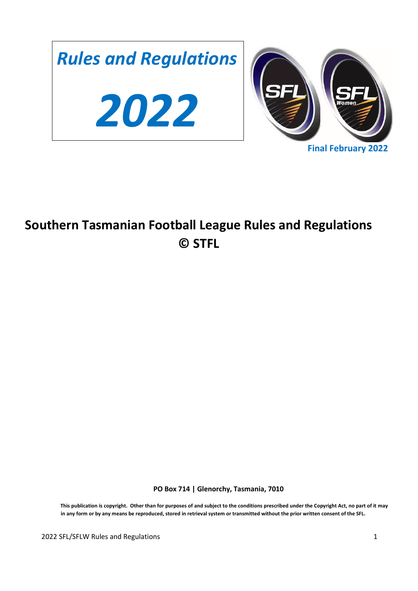

# **Southern Tasmanian Football League Rules and Regulations © STFL**

**PO Box 714 | Glenorchy, Tasmania, 7010** 

**This publication is copyright. Other than for purposes of and subject to the conditions prescribed under the Copyright Act, no part of it may in any form or by any means be reproduced, stored in retrieval system or transmitted without the prior written consent of the SFL.**

2022 SFL/SFLW Rules and Regulations 1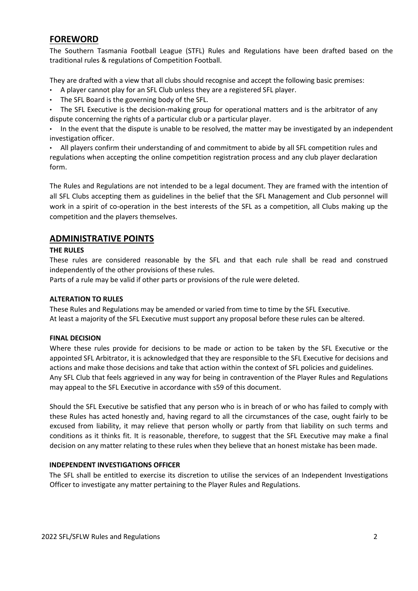# **FOREWORD**

The Southern Tasmania Football League (STFL) Rules and Regulations have been drafted based on the traditional rules & regulations of Competition Football.

They are drafted with a view that all clubs should recognise and accept the following basic premises:

- A player cannot play for an SFL Club unless they are a registered SFL player.
- The SFL Board is the governing body of the SFL.
- The SFL Executive is the decision-making group for operational matters and is the arbitrator of any dispute concerning the rights of a particular club or a particular player.

• In the event that the dispute is unable to be resolved, the matter may be investigated by an independent investigation officer.

• All players confirm their understanding of and commitment to abide by all SFL competition rules and regulations when accepting the online competition registration process and any club player declaration form.

The Rules and Regulations are not intended to be a legal document. They are framed with the intention of all SFL Clubs accepting them as guidelines in the belief that the SFL Management and Club personnel will work in a spirit of co-operation in the best interests of the SFL as a competition, all Clubs making up the competition and the players themselves.

### **ADMINISTRATIVE POINTS**

### **THE RULES**

These rules are considered reasonable by the SFL and that each rule shall be read and construed independently of the other provisions of these rules.

Parts of a rule may be valid if other parts or provisions of the rule were deleted.

### **ALTERATION TO RULES**

These Rules and Regulations may be amended or varied from time to time by the SFL Executive. At least a majority of the SFL Executive must support any proposal before these rules can be altered.

### **FINAL DECISION**

Where these rules provide for decisions to be made or action to be taken by the SFL Executive or the appointed SFL Arbitrator, it is acknowledged that they are responsible to the SFL Executive for decisions and actions and make those decisions and take that action within the context of SFL policies and guidelines. Any SFL Club that feels aggrieved in any way for being in contravention of the Player Rules and Regulations may appeal to the SFL Executive in accordance with s59 of this document.

Should the SFL Executive be satisfied that any person who is in breach of or who has failed to comply with these Rules has acted honestly and, having regard to all the circumstances of the case, ought fairly to be excused from liability, it may relieve that person wholly or partly from that liability on such terms and conditions as it thinks fit. It is reasonable, therefore, to suggest that the SFL Executive may make a final decision on any matter relating to these rules when they believe that an honest mistake has been made.

### **INDEPENDENT INVESTIGATIONS OFFICER**

The SFL shall be entitled to exercise its discretion to utilise the services of an Independent Investigations Officer to investigate any matter pertaining to the Player Rules and Regulations.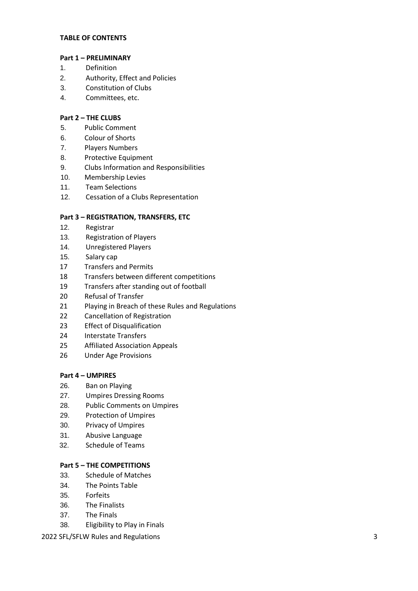### **TABLE OF CONTENTS**

### **Part 1 – PRELIMINARY**

- 1. Definition
- 2. Authority, Effect and Policies
- 3. Constitution of Clubs
- 4. Committees, etc.

### **Part 2 – THE CLUBS**

- 5. Public Comment
- 6. Colour of Shorts
- 7. Players Numbers
- 8. Protective Equipment
- 9. Clubs Information and Responsibilities
- 10. Membership Levies
- 11. Team Selections
- 12. Cessation of a Clubs Representation

### **Part 3 – REGISTRATION, TRANSFERS, ETC**

- 12. Registrar
- 13. Registration of Players
- 14. Unregistered Players
- 15. Salary cap
- 17 Transfers and Permits
- 18 Transfers between different competitions
- 19 Transfers after standing out of football
- 20 Refusal of Transfer
- 21 Playing in Breach of these Rules and Regulations
- 22 Cancellation of Registration
- 23 Effect of Disqualification
- 24 Interstate Transfers
- 25 Affiliated Association Appeals
- 26 Under Age Provisions

### **Part 4 – UMPIRES**

- 26. Ban on Playing
- 27. Umpires Dressing Rooms
- 28. Public Comments on Umpires
- 29. Protection of Umpires
- 30. Privacy of Umpires
- 31. Abusive Language
- 32. Schedule of Teams

### **Part 5 – THE COMPETITIONS**

- 33. Schedule of Matches
- 34. The Points Table
- 35. Forfeits
- 36. The Finalists
- 37. The Finals
- 38. Eligibility to Play in Finals

### 2022 SFL/SFLW Rules and Regulations 3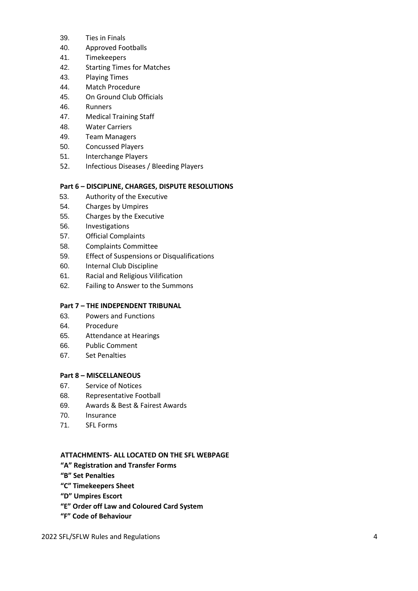- 39. Ties in Finals
- 40. Approved Footballs
- 41. Timekeepers
- 42. Starting Times for Matches
- 43. Playing Times
- 44. Match Procedure
- 45. On Ground Club Officials
- 46. Runners
- 47. Medical Training Staff
- 48. Water Carriers
- 49. Team Managers
- 50. Concussed Players
- 51. Interchange Players
- 52. Infectious Diseases / Bleeding Players

### **Part 6 – DISCIPLINE, CHARGES, DISPUTE RESOLUTIONS**

- 53. Authority of the Executive
- 54. Charges by Umpires
- 55. Charges by the Executive
- 56. Investigations
- 57. Official Complaints
- 58. Complaints Committee
- 59. Effect of Suspensions or Disqualifications
- 60. Internal Club Discipline
- 61. Racial and Religious Vilification
- 62. Failing to Answer to the Summons

### **Part 7 – THE INDEPENDENT TRIBUNAL**

- 63. Powers and Functions
- 64. Procedure
- 65. Attendance at Hearings
- 66. Public Comment
- 67. Set Penalties

### **Part 8 – MISCELLANEOUS**

- 67. Service of Notices
- 68. Representative Football
- 69. Awards & Best & Fairest Awards
- 70. Insurance
- 71. SFL Forms

### **ATTACHMENTS- ALL LOCATED ON THE SFL WEBPAGE**

- **"A" Registration and Transfer Forms**
- **"B" Set Penalties**
- **"C" Timekeepers Sheet**
- **"D" Umpires Escort**
- **"E" Order off Law and Coloured Card System**
- **"F" Code of Behaviour**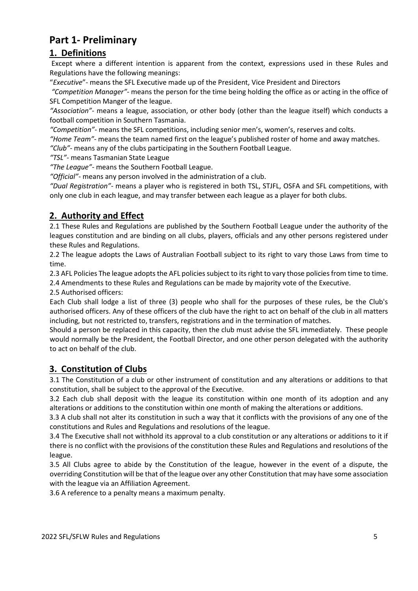# **Part 1- Preliminary**

# **1. Definitions**

Except where a different intention is apparent from the context, expressions used in these Rules and Regulations have the following meanings:

"*Executive*"- means the SFL Executive made up of the President, Vice President and Directors

*"Competition Manager"*- means the person for the time being holding the office as or acting in the office of SFL Competition Manger of the league.

*"Association"*- means a league, association, or other body (other than the league itself) which conducts a football competition in Southern Tasmania.

*"Competition"*- means the SFL competitions, including senior men's, women's, reserves and colts.

*"Home Team"*- means the team named first on the league's published roster of home and away matches.

*"Club"*- means any of the clubs participating in the Southern Football League.

*"TSL"*- means Tasmanian State League

*"The League"*- means the Southern Football League.

*"Official"*- means any person involved in the administration of a club.

*"Dual Registration"-* means a player who is registered in both TSL, STJFL, OSFA and SFL competitions, with only one club in each league, and may transfer between each league as a player for both clubs.

# **2. Authority and Effect**

2.1 These Rules and Regulations are published by the Southern Football League under the authority of the leagues constitution and are binding on all clubs, players, officials and any other persons registered under these Rules and Regulations.

2.2 The league adopts the Laws of Australian Football subject to its right to vary those Laws from time to time.

2.3 AFL Policies The league adopts the AFL policies subject to its right to vary those policies from time to time.

2.4 Amendments to these Rules and Regulations can be made by majority vote of the Executive.

2.5 Authorised officers:

Each Club shall lodge a list of three (3) people who shall for the purposes of these rules, be the Club's authorised officers. Any of these officers of the club have the right to act on behalf of the club in all matters including, but not restricted to, transfers, registrations and in the termination of matches.

Should a person be replaced in this capacity, then the club must advise the SFL immediately. These people would normally be the President, the Football Director, and one other person delegated with the authority to act on behalf of the club.

# **3. Constitution of Clubs**

3.1 The Constitution of a club or other instrument of constitution and any alterations or additions to that constitution, shall be subject to the approval of the Executive.

3.2 Each club shall deposit with the league its constitution within one month of its adoption and any alterations or additions to the constitution within one month of making the alterations or additions.

3.3 A club shall not alter its constitution in such a way that it conflicts with the provisions of any one of the constitutions and Rules and Regulations and resolutions of the league.

3.4 The Executive shall not withhold its approval to a club constitution or any alterations or additions to it if there is no conflict with the provisions of the constitution these Rules and Regulations and resolutions of the league.

3.5 All Clubs agree to abide by the Constitution of the league, however in the event of a dispute, the overriding Constitution will be that of the league over any other Constitution that may have some association with the league via an Affiliation Agreement.

3.6 A reference to a penalty means a maximum penalty.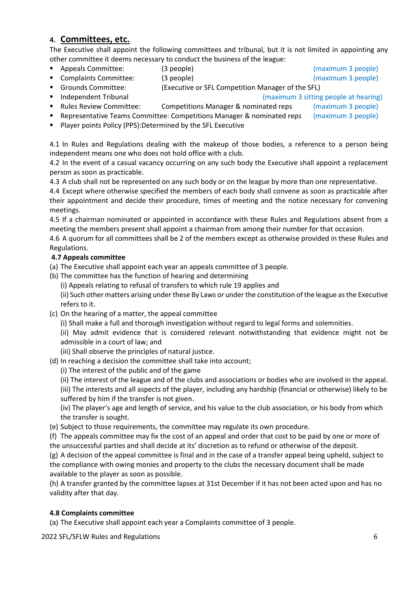### **4. Committees, etc.**

The Executive shall appoint the following committees and tribunal, but it is not limited in appointing any other committee it deems necessary to conduct the business of the league:

■ Appeals Committee: (3 people) (maximum 3 people)

- Complaints Committee: (3 people) (and the second second of the second of the second of the Second Seconds of the Second Seconds of the Second Seconds of the Second Seconds of the Second Seconds of the Second Seconds of
- Grounds Committee: (Executive or SFL Competition Manager of the SFL)
- Independent Tribunal and the same state of the state of the state of the state of the state of the state of the state of the state of the state of the state of the state of the state of the state of the state of the sta

- Rules Review Committee: Competitions Manager & nominated reps (maximum 3 people) **• Representative Teams Committee: Competitions Manager & nominated reps** (maximum 3 people)
- Player points Policy (PPS):Determined by the SFL Executive

4.1 In Rules and Regulations dealing with the makeup of those bodies, a reference to a person being independent means one who does not hold office with a club.

4.2 In the event of a casual vacancy occurring on any such body the Executive shall appoint a replacement person as soon as practicable.

4.3 A club shall not be represented on any such body or on the league by more than one representative.

4.4 Except where otherwise specified the members of each body shall convene as soon as practicable after their appointment and decide their procedure, times of meeting and the notice necessary for convening meetings.

4.5 If a chairman nominated or appointed in accordance with these Rules and Regulations absent from a meeting the members present shall appoint a chairman from among their number for that occasion.

4.6 A quorum for all committees shall be 2 of the members except as otherwise provided in these Rules and Regulations.

### **4.7 Appeals committee**

- (a) The Executive shall appoint each year an appeals committee of 3 people.
- (b) The committee has the function of hearing and determining
	- (i) Appeals relating to refusal of transfers to which rule 19 applies and

(ii) Such other matters arising under these By Laws or under the constitution of the league as the Executive refers to it.

- (c) On the hearing of a matter, the appeal committee
	- (i) Shall make a full and thorough investigation without regard to legal forms and solemnities.
	- (ii) May admit evidence that is considered relevant notwithstanding that evidence might not be admissible in a court of law; and
	- (iii) Shall observe the principles of natural justice.
- (d) In reaching a decision the committee shall take into account;
	- (i) The interest of the public and of the game
	- (ii) The interest of the league and of the clubs and associations or bodies who are involved in the appeal.

(iii) The interests and all aspects of the player, including any hardship (financial or otherwise) likely to be suffered by him if the transfer is not given.

(iv) The player's age and length of service, and his value to the club association, or his body from which the transfer is sought.

- (e) Subject to those requirements, the committee may regulate its own procedure.
- (f) The appeals committee may fix the cost of an appeal and order that cost to be paid by one or more of the unsuccessful parties and shall decide at its' discretion as to refund or otherwise of the deposit.

(g) A decision of the appeal committee is final and in the case of a transfer appeal being upheld, subject to the compliance with owing monies and property to the clubs the necessary document shall be made available to the player as soon as possible.

(h) A transfer granted by the committee lapses at 31st December if it has not been acted upon and has no validity after that day.

### **4.8 Complaints committee**

(a) The Executive shall appoint each year a Complaints committee of 3 people.

2022 SFL/SFLW Rules and Regulations 6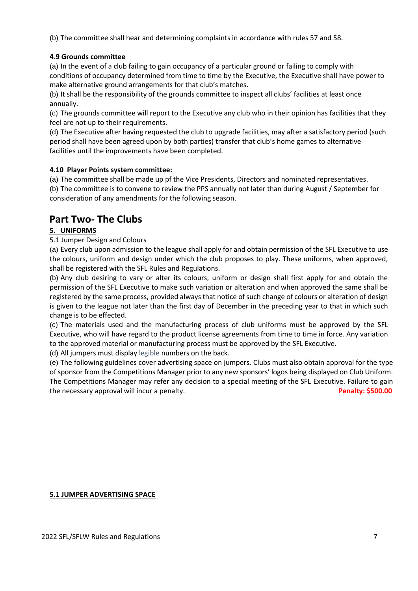(b) The committee shall hear and determining complaints in accordance with rules 57 and 58.

### **4.9 Grounds committee**

(a) In the event of a club failing to gain occupancy of a particular ground or failing to comply with conditions of occupancy determined from time to time by the Executive, the Executive shall have power to make alternative ground arrangements for that club's matches.

(b) It shall be the responsibility of the grounds committee to inspect all clubs' facilities at least once annually.

(c) The grounds committee will report to the Executive any club who in their opinion has facilities that they feel are not up to their requirements.

(d) The Executive after having requested the club to upgrade facilities, may after a satisfactory period (such period shall have been agreed upon by both parties) transfer that club's home games to alternative facilities until the improvements have been completed.

### **4.10 Player Points system committee:**

(a) The committee shall be made up pf the Vice Presidents, Directors and nominated representatives. (b) The committee is to convene to review the PPS annually not later than during August / September for

consideration of any amendments for the following season.

# **Part Two- The Clubs**

### **5. UNIFORMS**

### 5.1 Jumper Design and Colours

(a) Every club upon admission to the league shall apply for and obtain permission of the SFL Executive to use the colours, uniform and design under which the club proposes to play. These uniforms, when approved, shall be registered with the SFL Rules and Regulations.

(b) Any club desiring to vary or alter its colours, uniform or design shall first apply for and obtain the permission of the SFL Executive to make such variation or alteration and when approved the same shall be registered by the same process, provided always that notice of such change of colours or alteration of design is given to the league not later than the first day of December in the preceding year to that in which such change is to be effected.

(c) The materials used and the manufacturing process of club uniforms must be approved by the SFL Executive, who will have regard to the product license agreements from time to time in force. Any variation to the approved material or manufacturing process must be approved by the SFL Executive.

(d) All jumpers must display legible numbers on the back.

(e) The following guidelines cover advertising space on jumpers. Clubs must also obtain approval for the type of sponsor from the Competitions Manager prior to any new sponsors' logos being displayed on Club Uniform. The Competitions Manager may refer any decision to a special meeting of the SFL Executive. Failure to gain the necessary approval will incur a penalty. **Penalty: \$500.00**

### **5.1 JUMPER ADVERTISING SPACE**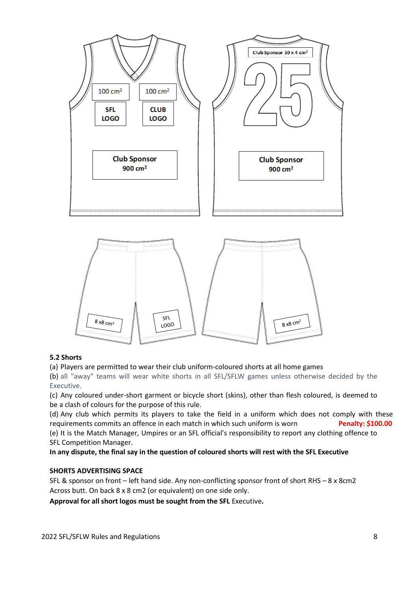

### **5.2 Shorts**

### (a) Players are permitted to wear their club uniform-coloured shorts at all home games

(b) all "away" teams will wear white shorts in all SFL/SFLW games unless otherwise decided by the Executive.

(c) Any coloured under-short garment or bicycle short (skins), other than flesh coloured, is deemed to be a clash of colours for the purpose of this rule.

(d) Any club which permits its players to take the field in a uniform which does not comply with these requirements commits an offence in each match in which such uniform is worn **Penalty: \$100.00**

(e) It is the Match Manager, Umpires or an SFL official's responsibility to report any clothing offence to SFL Competition Manager.

**In any dispute, the final say in the question of coloured shorts will rest with the SFL Executive**

### **SHORTS ADVERTISING SPACE**

SFL & sponsor on front – left hand side. Any non-conflicting sponsor front of short RHS – 8 x 8cm2 Across butt. On back 8 x 8 cm2 (or equivalent) on one side only.

**Approval for all short logos must be sought from the SFL** Executive**.**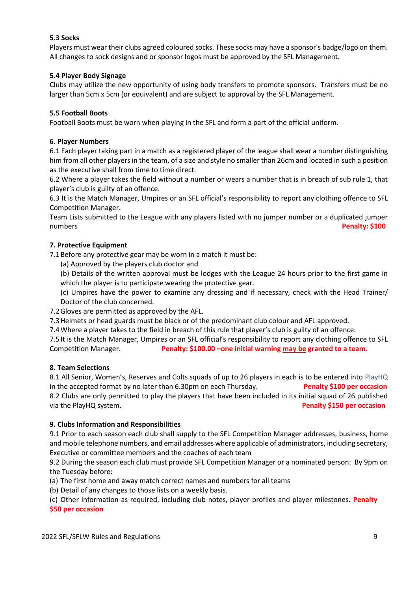### **5.3 Socks**

Players must wear their clubs agreed coloured socks. These socks may have a sponsor's badge/logo on them. All changes to sock designs and or sponsor logos must be approved by the SFL Management.

### **5.4 Player Body Signage**

Clubs may utilize the new opportunity of using body transfers to promote sponsors. Transfers must be no larger than 5cm x 5cm (or equivalent) and are subject to approval by the SFL Management.

### **5.5 Football Boots**

Football Boots must be worn when playing in the SFL and form a part of the official uniform.

### **6. Player Numbers**

6.1 Each player taking part in a match as a registered player of the league shall wear a number distinguishing him from all other players in the team, of a size and style no smaller than 26cm and located in such a position as the executive shall from time to time direct.

6.2 Where a player takes the field without a number or wears a number that is in breach of sub rule 1, that player's club is guilty of an offence.

6.3 It is the Match Manager, Umpires or an SFL official's responsibility to report any clothing offence to SFL Competition Manager.

Team Lists submitted to the League with any players listed with no jumper number or a duplicated jumper numbers **Penalty: \$100**

### **7. Protective Equipment**

7.1Before any protective gear may be worn in a match it must be:

- (a) Approved by the players club doctor and
- (b) Details of the written approval must be lodges with the League 24 hours prior to the first game in which the player is to participate wearing the protective gear.

(c) Umpires have the power to examine any dressing and if necessary, check with the Head Trainer/ Doctor of the club concerned.

7.2Gloves are permitted as approved by the AFL.

7.3Helmets or head guards must be black or of the predominant club colour and AFL approved.

7.4Where a player takes to the field in breach of this rule that player's club is guilty of an offence.

7.5It is the Match Manager, Umpires or an SFL official's responsibility to report any clothing offence to SFL Competition Manager. **Penalty: \$100.00 –one initial warning may be granted to a team.** 

### **8. Team Selections**

8.1 All Senior, Women's, Reserves and Colts squads of up to 26 players in each is to be entered into PlayHQ in the accepted format by no later than 6.30pm on each Thursday. **Penalty \$100 per occasion** 8.2 Clubs are only permitted to play the players that have been included in its initial squad of 26 published via the PlayHQ system. **Penalty \$150 per occasion**

### **9. Clubs Information and Responsibilities**

9.1 Prior to each season each club shall supply to the SFL Competition Manager addresses, business, home and mobile telephone numbers, and email addresses where applicable of administrators, including secretary, Executive or committee members and the coaches of each team

9.2 During the season each club must provide SFL Competition Manager or a nominated person: By 9pm on the Tuesday before:

(a) The first home and away match correct names and numbers for all teams

(b) Detail of any changes to those lists on a weekly basis.

(c) Other information as required, including club notes, player profiles and player milestones. **Penalty \$50 per occasion**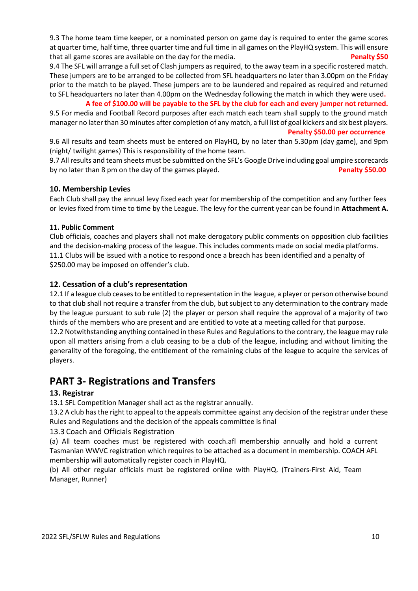9.3 The home team time keeper, or a nominated person on game day is required to enter the game scores at quarter time, half time, three quarter time and full time in all games on the PlayHQ system. This will ensure that all game scores are available on the day for the media. **Penalty \$50** 

9.4 The SFL will arrange a full set of Clash jumpers as required, to the away team in a specific rostered match. These jumpers are to be arranged to be collected from SFL headquarters no later than 3.00pm on the Friday prior to the match to be played. These jumpers are to be laundered and repaired as required and returned to SFL headquarters no later than 4.00pm on the Wednesday following the match in which they were used**.** 

### **A fee of \$100.00 will be payable to the SFL by the club for each and every jumper not returned.**

9.5 For media and Football Record purposes after each match each team shall supply to the ground match manager no later than 30 minutes after completion of any match, a full list of goal kickers and six best players. **Penalty \$50.00 per occurrence**

9.6 All results and team sheets must be entered on PlayHQ, by no later than 5.30pm (day game), and 9pm (night/ twilight games) This is responsibility of the home team.

9.7 All results and team sheets must be submitted on the SFL's Google Drive including goal umpire scorecards by no later than 8 pm on the day of the games played. **Penalty \$50.00** 

### **10. Membership Levies**

Each Club shall pay the annual levy fixed each year for membership of the competition and any further fees or levies fixed from time to time by the League. The levy for the current year can be found in **Attachment A.**

### **11. Public Comment**

Club officials, coaches and players shall not make derogatory public comments on opposition club facilities and the decision-making process of the league. This includes comments made on social media platforms. 11.1 Clubs will be issued with a notice to respond once a breach has been identified and a penalty of \$250.00 may be imposed on offender's club.

### **12. Cessation of a club's representation**

12.1 If a league club ceases to be entitled to representation in the league, a player or person otherwise bound to that club shall not require a transfer from the club, but subject to any determination to the contrary made by the league pursuant to sub rule (2) the player or person shall require the approval of a majority of two thirds of the members who are present and are entitled to vote at a meeting called for that purpose.

12.2 Notwithstanding anything contained in these Rules and Regulations to the contrary, the league may rule upon all matters arising from a club ceasing to be a club of the league, including and without limiting the generality of the foregoing, the entitlement of the remaining clubs of the league to acquire the services of players.

# **PART 3- Registrations and Transfers**

### **13. Registrar**

13.1 SFL Competition Manager shall act as the registrar annually.

13.2 A club has the right to appeal to the appeals committee against any decision of the registrar under these Rules and Regulations and the decision of the appeals committee is final

### 13.3 Coach and Officials Registration

(a) All team coaches must be registered with coach.afl membership annually and hold a current Tasmanian WWVC registration which requires to be attached as a document in membership. COACH AFL membership will automatically register coach in PlayHQ.

(b) All other regular officials must be registered online with PlayHQ. (Trainers-First Aid, Team Manager, Runner)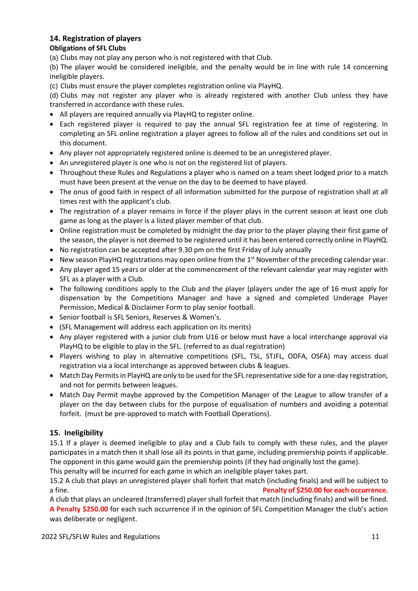# **14. Registration of players**

### **Obligations of SFL Clubs**

(a) Clubs may not play any person who is not registered with that Club.

(b) The player would be considered ineligible, and the penalty would be in line with rule 14 concerning ineligible players.

(c) Clubs must ensure the player completes registration online via PlayHQ.

(d) Clubs may not register any player who is already registered with another Club unless they have transferred in accordance with these rules.

- All players are required annually via PlayHQ to register online.
- Each registered player is required to pay the annual SFL registration fee at time of registering. In completing an SFL online registration a player agrees to follow all of the rules and conditions set out in this document.
- Any player not appropriately registered online is deemed to be an unregistered player.
- An unregistered player is one who is not on the registered list of players.
- Throughout these Rules and Regulations a player who is named on a team sheet lodged prior to a match must have been present at the venue on the day to be deemed to have played.
- The onus of good faith in respect of all information submitted for the purpose of registration shall at all times rest with the applicant's club.
- The registration of a player remains in force if the player plays in the current season at least one club game as long as the player is a listed player member of that club.
- Online registration must be completed by midnight the day prior to the player playing their first game of the season, the player is not deemed to be registered until it has been entered correctly online in PlayHQ.
- No registration can be accepted after 9.30 pm on the first Friday of July annually
- New season PlayHQ registrations may open online from the  $1<sup>st</sup>$  November of the preceding calendar year.
- Any player aged 15 years or older at the commencement of the relevant calendar year may register with SFL as a player with a Club.
- The following conditions apply to the Club and the player (players under the age of 16 must apply for dispensation by the Competitions Manager and have a signed and completed Underage Player Permission, Medical & Disclaimer Form to play senior football.
- Senior football is SFL Seniors, Reserves & Women's.
- (SFL Management will address each application on its merits)
- Any player registered with a junior club from U16 or below must have a local interchange approval via PlayHQ to be eligible to play in the SFL. (referred to as dual registration)
- Players wishing to play in alternative competitions (SFL, TSL, STJFL, ODFA, OSFA) may access dual registration via a local interchange as approved between clubs & leagues.
- Match Day Permits in PlayHQ are only to be used for the SFL representative side for a one-day registration, and not for permits between leagues.
- Match Day Permit maybe approved by the Competition Manager of the League to allow transfer of a player on the day between clubs for the purpose of equalisation of numbers and avoiding a potential forfeit. (must be pre-approved to match with Football Operations).

### **15. Ineligibility**

15.1 If a player is deemed ineligible to play and a Club fails to comply with these rules, and the player participates in a match then it shall lose all its points in that game, including premiership points if applicable. The opponent in this game would gain the premiership points (if they had originally lost the game).

This penalty will be incurred for each game in which an ineligible player takes part.

15.2 A club that plays an unregistered player shall forfeit that match (including finals) and will be subject to a fine. **Penalty of \$250.00 for each occurrence.**

A club that plays an uncleared (transferred) player shall forfeit that match (including finals) and will be fined. **A Penalty \$250.00** for each such occurrence if in the opinion of SFL Competition Manager the club's action was deliberate or negligent.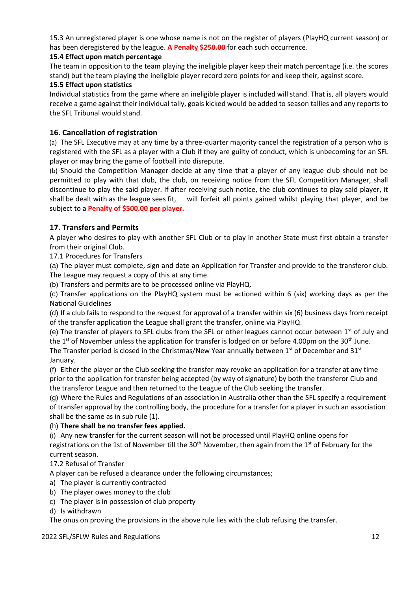15.3 An unregistered player is one whose name is not on the register of players (PlayHQ current season) or has been deregistered by the league. **A Penalty \$250.00** for each such occurrence.

### **15.4 Effect upon match percentage**

The team in opposition to the team playing the ineligible player keep their match percentage (i.e. the scores stand) but the team playing the ineligible player record zero points for and keep their, against score.

### **15.5 Effect upon statistics**

Individual statistics from the game where an ineligible player is included will stand. That is, all players would receive a game against their individual tally, goals kicked would be added to season tallies and any reports to the SFL Tribunal would stand.

### **16. Cancellation of registration**

(a) The SFL Executive may at any time by a three-quarter majority cancel the registration of a person who is registered with the SFL as a player with a Club if they are guilty of conduct, which is unbecoming for an SFL player or may bring the game of football into disrepute.

(b) Should the Competition Manager decide at any time that a player of any league club should not be permitted to play with that club, the club, on receiving notice from the SFL Competition Manager, shall discontinue to play the said player. If after receiving such notice, the club continues to play said player, it shall be dealt with as the league sees fit, will forfeit all points gained whilst playing that player, and be subject to a **Penalty of \$500.00 per player.** 

### **17. Transfers and Permits**

A player who desires to play with another SFL Club or to play in another State must first obtain a transfer from their original Club.

17.1 Procedures for Transfers

(a) The player must complete, sign and date an Application for Transfer and provide to the transferor club. The League may request a copy of this at any time.

(b) Transfers and permits are to be processed online via PlayHQ.

(c) Transfer applications on the PlayHQ system must be actioned within 6 (six) working days as per the National Guidelines

(d) If a club fails to respond to the request for approval of a transfer within six (6) business days from receipt of the transfer application the League shall grant the transfer, online via PlayHQ.

(e) The transfer of players to SFL clubs from the SFL or other leagues cannot occur between  $1<sup>st</sup>$  of July and the 1<sup>st</sup> of November unless the application for transfer is lodged on or before 4.00pm on the 30<sup>th</sup> June.

The Transfer period is closed in the Christmas/New Year annually between  $1<sup>st</sup>$  of December and  $31<sup>st</sup>$ January.

(f) Either the player or the Club seeking the transfer may revoke an application for a transfer at any time prior to the application for transfer being accepted (by way of signature) by both the transferor Club and the transferor League and then returned to the League of the Club seeking the transfer.

(g) Where the Rules and Regulations of an association in Australia other than the SFL specify a requirement of transfer approval by the controlling body, the procedure for a transfer for a player in such an association shall be the same as in sub rule (1).

### (h) **There shall be no transfer fees applied.**

(i) Any new transfer for the current season will not be processed until PlayHQ online opens for

registrations on the 1st of November till the  $30<sup>th</sup>$  November, then again from the 1<sup>st</sup> of February for the current season.

### 17.2 Refusal of Transfer

A player can be refused a clearance under the following circumstances;

- a) The player is currently contracted
- b) The player owes money to the club
- c) The player is in possession of club property
- d) Is withdrawn

The onus on proving the provisions in the above rule lies with the club refusing the transfer.

### 2022 SFL/SFLW Rules and Regulations 12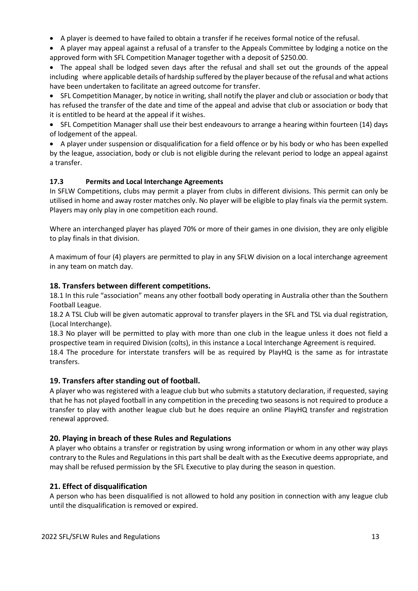• A player is deemed to have failed to obtain a transfer if he receives formal notice of the refusal.

• A player may appeal against a refusal of a transfer to the Appeals Committee by lodging a notice on the approved form with SFL Competition Manager together with a deposit of \$250.00.

• The appeal shall be lodged seven days after the refusal and shall set out the grounds of the appeal including where applicable details of hardship suffered by the player because of the refusal and what actions have been undertaken to facilitate an agreed outcome for transfer.

• SFL Competition Manager, by notice in writing, shall notify the player and club or association or body that has refused the transfer of the date and time of the appeal and advise that club or association or body that it is entitled to be heard at the appeal if it wishes.

• SFL Competition Manager shall use their best endeavours to arrange a hearing within fourteen (14) days of lodgement of the appeal.

• A player under suspension or disqualification for a field offence or by his body or who has been expelled by the league, association, body or club is not eligible during the relevant period to lodge an appeal against a transfer.

### **17.3 Permits and Local Interchange Agreements**

In SFLW Competitions, clubs may permit a player from clubs in different divisions. This permit can only be utilised in home and away roster matches only. No player will be eligible to play finals via the permit system. Players may only play in one competition each round.

Where an interchanged player has played 70% or more of their games in one division, they are only eligible to play finals in that division.

A maximum of four (4) players are permitted to play in any SFLW division on a local interchange agreement in any team on match day.

### **18. Transfers between different competitions.**

18.1 In this rule "association" means any other football body operating in Australia other than the Southern Football League.

18.2 A TSL Club will be given automatic approval to transfer players in the SFL and TSL via dual registration, (Local Interchange).

18.3 No player will be permitted to play with more than one club in the league unless it does not field a prospective team in required Division (colts), in this instance a Local Interchange Agreement is required. 18.4 The procedure for interstate transfers will be as required by PlayHQ is the same as for intrastate transfers.

### **19. Transfers after standing out of football.**

A player who was registered with a league club but who submits a statutory declaration, if requested, saying that he has not played football in any competition in the preceding two seasons is not required to produce a transfer to play with another league club but he does require an online PlayHQ transfer and registration renewal approved.

### **20. Playing in breach of these Rules and Regulations**

A player who obtains a transfer or registration by using wrong information or whom in any other way plays contrary to the Rules and Regulations in this part shall be dealt with as the Executive deems appropriate, and may shall be refused permission by the SFL Executive to play during the season in question.

### **21. Effect of disqualification**

A person who has been disqualified is not allowed to hold any position in connection with any league club until the disqualification is removed or expired.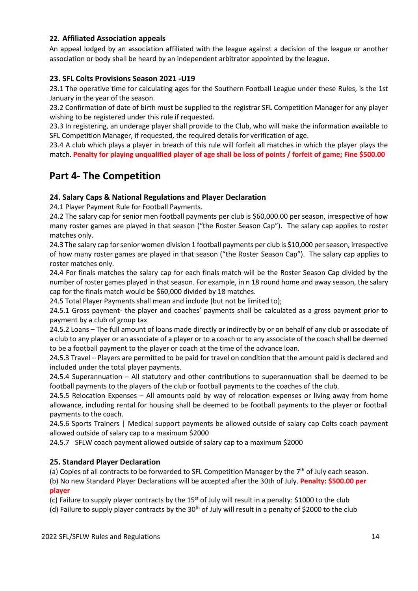### **22. Affiliated Association appeals**

An appeal lodged by an association affiliated with the league against a decision of the league or another association or body shall be heard by an independent arbitrator appointed by the league.

### **23. SFL Colts Provisions Season 2021 -U19**

23.1 The operative time for calculating ages for the Southern Football League under these Rules, is the 1st January in the year of the season.

23.2 Confirmation of date of birth must be supplied to the registrar SFL Competition Manager for any player wishing to be registered under this rule if requested.

23.3 In registering, an underage player shall provide to the Club, who will make the information available to SFL Competition Manager, if requested, the required details for verification of age.

23.4 A club which plays a player in breach of this rule will forfeit all matches in which the player plays the match. **Penalty for playing unqualified player of age shall be loss of points / forfeit of game; Fine \$500.00** 

# **Part 4- The Competition**

### **24. Salary Caps & National Regulations and Player Declaration**

24.1 Player Payment Rule for Football Payments.

24.2 The salary cap for senior men football payments per club is \$60,000.00 per season, irrespective of how many roster games are played in that season ("the Roster Season Cap"). The salary cap applies to roster matches only.

24.3 The salary cap for senior women division 1 football payments per club is \$10,000 per season, irrespective of how many roster games are played in that season ("the Roster Season Cap"). The salary cap applies to roster matches only.

24.4 For finals matches the salary cap for each finals match will be the Roster Season Cap divided by the number of roster games played in that season. For example, in n 18 round home and away season, the salary cap for the finals match would be \$60,000 divided by 18 matches.

24.5 Total Player Payments shall mean and include (but not be limited to);

24.5.1 Gross payment- the player and coaches' payments shall be calculated as a gross payment prior to payment by a club of group tax

24.5.2 Loans – The full amount of loans made directly or indirectly by or on behalf of any club or associate of a club to any player or an associate of a player or to a coach or to any associate of the coach shall be deemed to be a football payment to the player or coach at the time of the advance loan.

24.5.3 Travel – Players are permitted to be paid for travel on condition that the amount paid is declared and included under the total player payments.

24.5.4 Superannuation – All statutory and other contributions to superannuation shall be deemed to be football payments to the players of the club or football payments to the coaches of the club.

24.5.5 Relocation Expenses – All amounts paid by way of relocation expenses or living away from home allowance, including rental for housing shall be deemed to be football payments to the player or football payments to the coach.

24.5.6 Sports Trainers | Medical support payments be allowed outside of salary cap Colts coach payment allowed outside of salary cap to a maximum \$2000

24.5.7 SFLW coach payment allowed outside of salary cap to a maximum \$2000

### **25. Standard Player Declaration**

(a) Copies of all contracts to be forwarded to SFL Competition Manager by the  $7<sup>th</sup>$  of July each season.

(b) No new Standard Player Declarations will be accepted after the 30th of July. **Penalty: \$500.00 per player**

(c) Failure to supply player contracts by the 15<sup>st</sup> of July will result in a penalty: \$1000 to the club

(d) Failure to supply player contracts by the 30<sup>th</sup> of July will result in a penalty of \$2000 to the club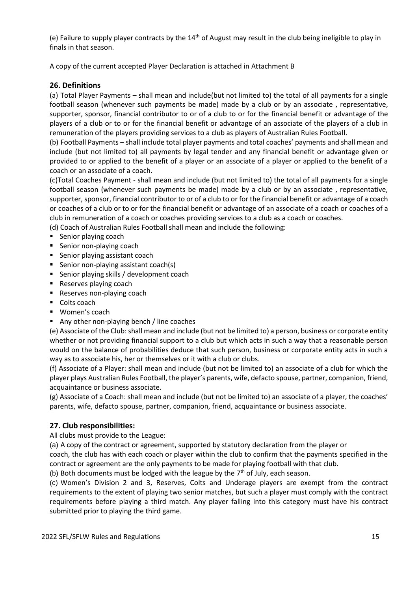(e) Failure to supply player contracts by the  $14<sup>th</sup>$  of August may result in the club being ineligible to play in finals in that season.

A copy of the current accepted Player Declaration is attached in Attachment B

### **26. Definitions**

(a) Total Player Payments – shall mean and include(but not limited to) the total of all payments for a single football season (whenever such payments be made) made by a club or by an associate , representative, supporter, sponsor, financial contributor to or of a club to or for the financial benefit or advantage of the players of a club or to or for the financial benefit or advantage of an associate of the players of a club in remuneration of the players providing services to a club as players of Australian Rules Football.

(b) Football Payments – shall include total player payments and total coaches' payments and shall mean and include (but not limited to) all payments by legal tender and any financial benefit or advantage given or provided to or applied to the benefit of a player or an associate of a player or applied to the benefit of a coach or an associate of a coach.

(c)Total Coaches Payment - shall mean and include (but not limited to) the total of all payments for a single football season (whenever such payments be made) made by a club or by an associate , representative, supporter, sponsor, financial contributor to or of a club to or for the financial benefit or advantage of a coach or coaches of a club or to or for the financial benefit or advantage of an associate of a coach or coaches of a club in remuneration of a coach or coaches providing services to a club as a coach or coaches.

(d) Coach of Australian Rules Football shall mean and include the following:

- Senior playing coach
- Senior non-playing coach
- Senior playing assistant coach
- Senior non-playing assistant coach(s)
- Senior playing skills / development coach
- Reserves playing coach
- Reserves non-playing coach
- Colts coach
- Women's coach
- Any other non-playing bench / line coaches

(e) Associate of the Club: shall mean and include (but not be limited to) a person, business or corporate entity whether or not providing financial support to a club but which acts in such a way that a reasonable person would on the balance of probabilities deduce that such person, business or corporate entity acts in such a way as to associate his, her or themselves or it with a club or clubs.

(f) Associate of a Player: shall mean and include (but not be limited to) an associate of a club for which the player plays Australian Rules Football, the player's parents, wife, defacto spouse, partner, companion, friend, acquaintance or business associate.

(g) Associate of a Coach: shall mean and include (but not be limited to) an associate of a player, the coaches' parents, wife, defacto spouse, partner, companion, friend, acquaintance or business associate.

### **27. Club responsibilities:**

All clubs must provide to the League:

(a) A copy of the contract or agreement, supported by statutory declaration from the player or

coach, the club has with each coach or player within the club to confirm that the payments specified in the contract or agreement are the only payments to be made for playing football with that club.

(b) Both documents must be lodged with the league by the  $7<sup>th</sup>$  of July, each season.

(c) Women's Division 2 and 3, Reserves, Colts and Underage players are exempt from the contract requirements to the extent of playing two senior matches, but such a player must comply with the contract requirements before playing a third match. Any player falling into this category must have his contract submitted prior to playing the third game.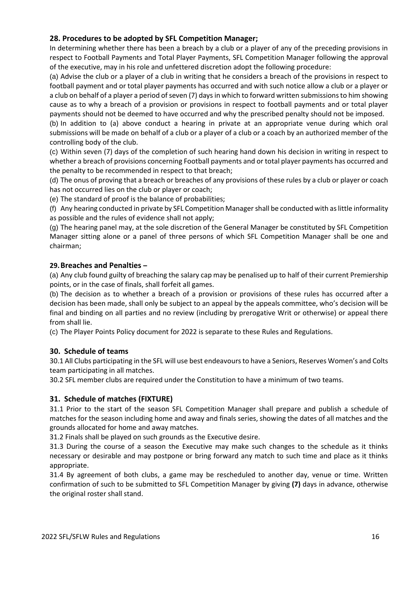### **28. Procedures to be adopted by SFL Competition Manager;**

In determining whether there has been a breach by a club or a player of any of the preceding provisions in respect to Football Payments and Total Player Payments, SFL Competition Manager following the approval of the executive, may in his role and unfettered discretion adopt the following procedure:

(a) Advise the club or a player of a club in writing that he considers a breach of the provisions in respect to football payment and or total player payments has occurred and with such notice allow a club or a player or a club on behalf of a player a period of seven (7) days in which to forward written submissions to him showing cause as to why a breach of a provision or provisions in respect to football payments and or total player payments should not be deemed to have occurred and why the prescribed penalty should not be imposed.

(b) In addition to (a) above conduct a hearing in private at an appropriate venue during which oral submissions will be made on behalf of a club or a player of a club or a coach by an authorized member of the controlling body of the club.

(c) Within seven (7) days of the completion of such hearing hand down his decision in writing in respect to whether a breach of provisions concerning Football payments and or total player payments has occurred and the penalty to be recommended in respect to that breach;

(d) The onus of proving that a breach or breaches of any provisions of these rules by a club or player or coach has not occurred lies on the club or player or coach;

(e) The standard of proof is the balance of probabilities;

(f) Any hearing conducted in private by SFL Competition Managershall be conducted with as little informality as possible and the rules of evidence shall not apply;

(g) The hearing panel may, at the sole discretion of the General Manager be constituted by SFL Competition Manager sitting alone or a panel of three persons of which SFL Competition Manager shall be one and chairman;

### **29.Breaches and Penalties –**

(a) Any club found guilty of breaching the salary cap may be penalised up to half of their current Premiership points, or in the case of finals, shall forfeit all games.

(b) The decision as to whether a breach of a provision or provisions of these rules has occurred after a decision has been made, shall only be subject to an appeal by the appeals committee, who's decision will be final and binding on all parties and no review (including by prerogative Writ or otherwise) or appeal there from shall lie.

(c) The Player Points Policy document for 2022 is separate to these Rules and Regulations.

### **30. Schedule of teams**

30.1 All Clubs participating in the SFL will use best endeavours to have a Seniors, Reserves Women's and Colts team participating in all matches.

30.2 SFL member clubs are required under the Constitution to have a minimum of two teams.

### **31. Schedule of matches (FIXTURE)**

31.1 Prior to the start of the season SFL Competition Manager shall prepare and publish a schedule of matches for the season including home and away and finals series, showing the dates of all matches and the grounds allocated for home and away matches.

31.2 Finals shall be played on such grounds as the Executive desire.

31.3 During the course of a season the Executive may make such changes to the schedule as it thinks necessary or desirable and may postpone or bring forward any match to such time and place as it thinks appropriate.

31.4 By agreement of both clubs, a game may be rescheduled to another day, venue or time. Written confirmation of such to be submitted to SFL Competition Manager by giving **(7)** days in advance, otherwise the original roster shall stand.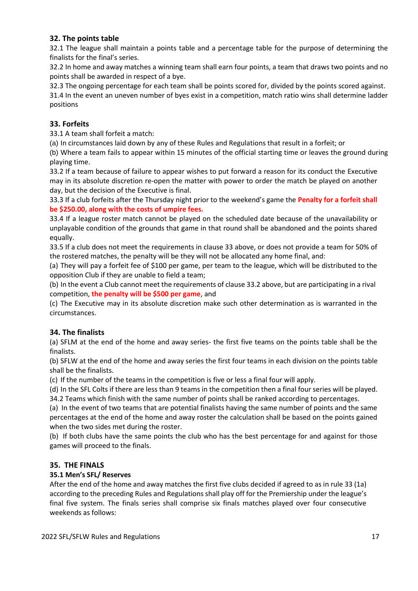### **32. The points table**

32.1 The league shall maintain a points table and a percentage table for the purpose of determining the finalists for the final's series.

32.2 In home and away matches a winning team shall earn four points, a team that draws two points and no points shall be awarded in respect of a bye.

32.3 The ongoing percentage for each team shall be points scored for, divided by the points scored against.

31.4 In the event an uneven number of byes exist in a competition, match ratio wins shall determine ladder positions

### **33. Forfeits**

33.1 A team shall forfeit a match:

(a) In circumstances laid down by any of these Rules and Regulations that result in a forfeit; or

(b) Where a team fails to appear within 15 minutes of the official starting time or leaves the ground during playing time.

33.2 If a team because of failure to appear wishes to put forward a reason for its conduct the Executive may in its absolute discretion re-open the matter with power to order the match be played on another day, but the decision of the Executive is final.

33.3 If a club forfeits after the Thursday night prior to the weekend's game the **Penalty for a forfeit shall be \$250.00, along with the costs of umpire fees.** 

33.4 If a league roster match cannot be played on the scheduled date because of the unavailability or unplayable condition of the grounds that game in that round shall be abandoned and the points shared equally.

33.5 If a club does not meet the requirements in clause 33 above, or does not provide a team for 50% of the rostered matches, the penalty will be they will not be allocated any home final, and:

(a) They will pay a forfeit fee of \$100 per game, per team to the league, which will be distributed to the opposition Club if they are unable to field a team;

(b) In the event a Club cannot meet the requirements of clause 33.2 above, but are participating in a rival competition, **the penalty will be \$500 per game**, and

(c) The Executive may in its absolute discretion make such other determination as is warranted in the circumstances.

### **34. The finalists**

(a) SFLM at the end of the home and away series- the first five teams on the points table shall be the finalists.

(b) SFLW at the end of the home and away series the first four teams in each division on the points table shall be the finalists.

(c) If the number of the teams in the competition is five or less a final four will apply.

(d) In the SFL Colts if there are less than 9 teams in the competition then a final four series will be played. 34.2 Teams which finish with the same number of points shall be ranked according to percentages.

(a) In the event of two teams that are potential finalists having the same number of points and the same percentages at the end of the home and away roster the calculation shall be based on the points gained when the two sides met during the roster.

(b) If both clubs have the same points the club who has the best percentage for and against for those games will proceed to the finals.

### **35. THE FINALS**

### **35.1 Men's SFL/ Reserves**

After the end of the home and away matches the first five clubs decided if agreed to as in rule 33 (1a) according to the preceding Rules and Regulations shall play off for the Premiership under the league's final five system. The finals series shall comprise six finals matches played over four consecutive weekends as follows: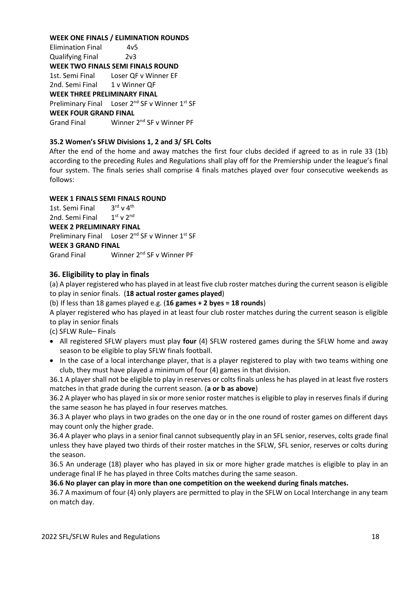### **WEEK ONE FINALS / ELIMINATION ROUNDS**

Elimination Final 4v5 Qualifying Final 2v3 **WEEK TWO FINALS SEMI FINALS ROUND**  1st. Semi Final Loser QF v Winner EF 2nd. Semi Final 1 v Winner OF **WEEK THREE PRELIMINARY FINAL**  Preliminary Final Loser 2<sup>nd</sup> SF v Winner 1<sup>st</sup> SF **WEEK FOUR GRAND FINAL**  Grand Final Winner 2nd SF v Winner PF

### **35.2 Women's SFLW Divisions 1, 2 and 3/ SFL Colts**

After the end of the home and away matches the first four clubs decided if agreed to as in rule 33 (1b) according to the preceding Rules and Regulations shall play off for the Premiership under the league's final four system. The finals series shall comprise 4 finals matches played over four consecutive weekends as follows:

### **WEEK 1 FINALS SEMI FINALS ROUND**

1st. Semi Final 3  $3^{\text{rd}}$  v  $4^{\text{th}}$ 2nd. Semi Final 1  $1<sup>st</sup>$  v  $2<sup>nd</sup>$ 

### **WEEK 2 PRELIMINARY FINAL**

Preliminary Final Loser 2<sup>nd</sup> SF v Winner 1<sup>st</sup> SF

### **WEEK 3 GRAND FINAL**

Grand Final Winner 2<sup>nd</sup> SF v Winner PF

### **36. Eligibility to play in finals**

(a) A player registered who has played in at least five club roster matches during the current season is eligible to play in senior finals. (**18 actual roster games played**)

(b) If less than 18 games played e.g. (**16 games + 2 byes = 18 rounds**)

A player registered who has played in at least four club roster matches during the current season is eligible to play in senior finals

(c) SFLW Rule– Finals

- All registered SFLW players must play **four** (4) SFLW rostered games during the SFLW home and away season to be eligible to play SFLW finals football.
- In the case of a local interchange player, that is a player registered to play with two teams withing one club, they must have played a minimum of four (4) games in that division.

36.1 A player shall not be eligible to play in reserves or colts finals unless he has played in at least five rosters matches in that grade during the current season. (**a or b as above**)

36.2 A player who has played in six or more senior roster matches is eligible to play in reserves finals if during the same season he has played in four reserves matches.

36.3 A player who plays in two grades on the one day or in the one round of roster games on different days may count only the higher grade.

36.4 A player who plays in a senior final cannot subsequently play in an SFL senior, reserves, colts grade final unless they have played two thirds of their roster matches in the SFLW, SFL senior, reserves or colts during the season.

36.5 An underage (18) player who has played in six or more higher grade matches is eligible to play in an underage final IF he has played in three Colts matches during the same season.

### **36.6 No player can play in more than one competition on the weekend during finals matches.**

36.7 A maximum of four (4) only players are permitted to play in the SFLW on Local Interchange in any team on match day.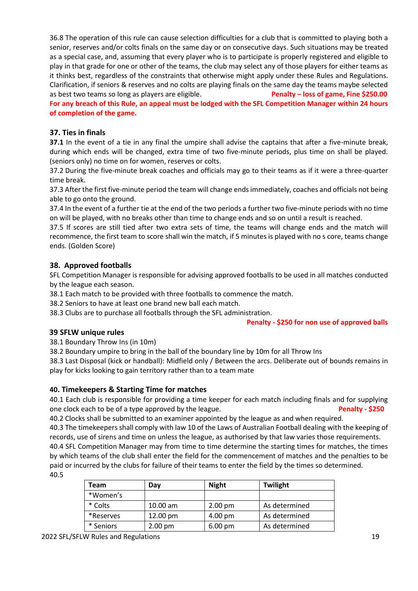36.8 The operation of this rule can cause selection difficulties for a club that is committed to playing both a senior, reserves and/or colts finals on the same day or on consecutive days. Such situations may be treated as a special case, and, assuming that every player who is to participate is properly registered and eligible to play in that grade for one or other of the teams, the club may select any of those players for either teams as it thinks best, regardless of the constraints that otherwise might apply under these Rules and Regulations. Clarification, if seniors & reserves and no colts are playing finals on the same day the teams maybe selected as best two teams so long as players are eligible. **Penalty – loss of game, Fine \$250.00** 

**For any breach of this Rule, an appeal must be lodged with the SFL Competition Manager within 24 hours of completion of the game.** 

### **37. Ties in finals**

**37.1** In the event of a tie in any final the umpire shall advise the captains that after a five-minute break, during which ends will be changed, extra time of two five-minute periods, plus time on shall be played. (seniors only) no time on for women, reserves or colts.

37.2 During the five-minute break coaches and officials may go to their teams as if it were a three-quarter time break.

37.3 After the first five-minute period the team will change ends immediately, coaches and officials not being able to go onto the ground.

37.4 In the event of a further tie at the end of the two periods a further two five-minute periods with no time on will be played, with no breaks other than time to change ends and so on until a result is reached.

37.5 If scores are still tied after two extra sets of time, the teams will change ends and the match will recommence, the first team to score shall win the match, if 5 minutes is played with no s core, teams change ends. (Golden Score)

### **38. Approved footballs**

SFL Competition Manager is responsible for advising approved footballs to be used in all matches conducted by the league each season.

38.1 Each match to be provided with three footballs to commence the match.

38.2 Seniors to have at least one brand new ball each match.

38.3 Clubs are to purchase all footballs through the SFL administration.

### **Penalty - \$250 for non use of approved balls**

### **39 SFLW unique rules**

38.1 Boundary Throw Ins (in 10m)

38.2 Boundary umpire to bring in the ball of the boundary line by 10m for all Throw Ins

38.3 Last Disposal (kick or handball): Midfield only / Between the arcs. Deliberate out of bounds remains in play for kicks looking to gain territory rather than to a team mate

### **40. Timekeepers & Starting Time for matches**

40.1 Each club is responsible for providing a time keeper for each match including finals and for supplying one clock each to be of a type approved by the league. **Penalty - \$250**

40.2 Clocks shall be submitted to an examiner appointed by the league as and when required.

40.3 The timekeepers shall comply with law 10 of the Laws of Australian Football dealing with the keeping of records, use of sirens and time on unless the league, as authorised by that law varies those requirements.

40.4 SFL Competition Manager may from time to time determine the starting times for matches, the times by which teams of the club shall enter the field for the commencement of matches and the penalties to be paid or incurred by the clubs for failure of their teams to enter the field by the times so determined. 40.5

| Team      | Dav                | <b>Night</b>      | Twilight      |
|-----------|--------------------|-------------------|---------------|
| *Women's  |                    |                   |               |
| * Colts   | $10.00$ am         | $2.00 \text{ pm}$ | As determined |
| *Reserves | $12.00 \text{ pm}$ | 4.00 pm           | As determined |
| * Seniors | 2.00 pm            | $6.00 \text{ pm}$ | As determined |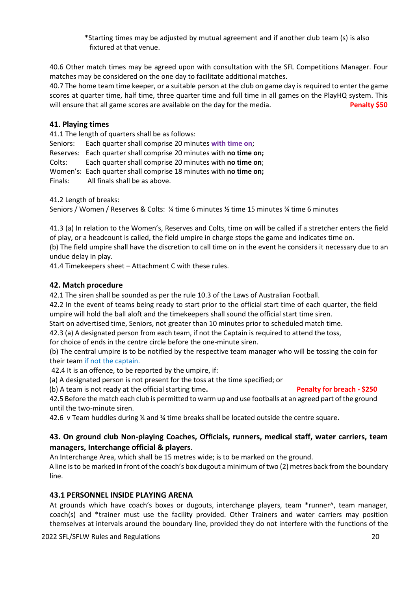\*Starting times may be adjusted by mutual agreement and if another club team (s) is also fixtured at that venue.

40.6 Other match times may be agreed upon with consultation with the SFL Competitions Manager. Four matches may be considered on the one day to facilitate additional matches.

40.7 The home team time keeper, or a suitable person at the club on game day is required to enter the game scores at quarter time, half time, three quarter time and full time in all games on the PlayHQ system. This will ensure that all game scores are available on the day for the media. **Penalty \$50** 

### **41. Playing times**

41.1 The length of quarters shall be as follows:

Seniors: Each quarter shall comprise 20 minutes **with time on**;

Reserves: Each quarter shall comprise 20 minutes with **no time on;**

Colts: Each quarter shall comprise 20 minutes with **no time on**;

Women's: Each quarter shall comprise 18 minutes with **no time on;**

Finals: All finals shall be as above.

41.2 Length of breaks:

Seniors / Women / Reserves & Colts: ¼ time 6 minutes ½ time 15 minutes ¾ time 6 minutes

41.3 (a) In relation to the Women's, Reserves and Colts, time on will be called if a stretcher enters the field of play, or a headcount is called, the field umpire in charge stops the game and indicates time on. (b) The field umpire shall have the discretion to call time on in the event he considers it necessary due to an

undue delay in play.

41.4 Timekeepers sheet – Attachment C with these rules.

### **42. Match procedure**

42.1 The siren shall be sounded as per the rule 10.3 of the Laws of Australian Football.

42.2 In the event of teams being ready to start prior to the official start time of each quarter, the field umpire will hold the ball aloft and the timekeepers shall sound the official start time siren.

Start on advertised time, Seniors, not greater than 10 minutes prior to scheduled match time.

42.3 (a) A designated person from each team, if not the Captain is required to attend the toss,

for choice of ends in the centre circle before the one-minute siren.

(b) The central umpire is to be notified by the respective team manager who will be tossing the coin for their team if not the captain.

42.4 It is an offence, to be reported by the umpire, if:

(a) A designated person is not present for the toss at the time specified; or

(b) A team is not ready at the official starting time. **Penalty for breach - \$250** 

42.5 Before the match each club is permitted to warm up and use footballs at an agreed part of the ground until the two-minute siren.

42.6 v Team huddles during  $\frac{1}{4}$  and  $\frac{1}{4}$  time breaks shall be located outside the centre square.

### **43. On ground club Non-playing Coaches, Officials, runners, medical staff, water carriers, team managers, Interchange official & players.**

An Interchange Area, which shall be 15 metres wide; is to be marked on the ground.

A line is to be marked in front of the coach's box dugout a minimum of two (2) metres back from the boundary line.

### **43.1 PERSONNEL INSIDE PLAYING ARENA**

At grounds which have coach's boxes or dugouts, interchange players, team \*runner^, team manager, coach(s) and \*trainer must use the facility provided. Other Trainers and water carriers may position themselves at intervals around the boundary line, provided they do not interfere with the functions of the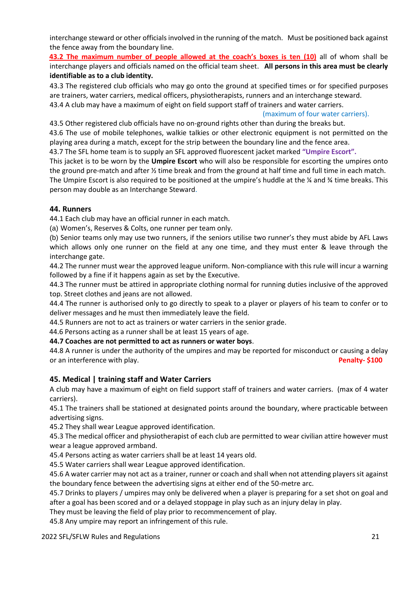interchange steward or other officials involved in the running of the match. Must be positioned back against the fence away from the boundary line.

**43.2 The maximum number of people allowed at the coach's boxes is ten (10)** all of whom shall be interchange players and officials named on the official team sheet. **All persons in this area must be clearly identifiable as to a club identity.** 

43.3 The registered club officials who may go onto the ground at specified times or for specified purposes are trainers, water carriers, medical officers, physiotherapists, runners and an interchange steward.

43.4 A club may have a maximum of eight on field support staff of trainers and water carriers.

### (maximum of four water carriers).

43.5 Other registered club officials have no on-ground rights other than during the breaks but.

43.6 The use of mobile telephones, walkie talkies or other electronic equipment is not permitted on the playing area during a match, except for the strip between the boundary line and the fence area.

43.7 The SFL home team is to supply an SFL approved fluorescent jacket marked **"Umpire Escort".**

This jacket is to be worn by the **Umpire Escort** who will also be responsible for escorting the umpires onto the ground pre-match and after ½ time break and from the ground at half time and full time in each match. The Umpire Escort is also required to be positioned at the umpire's huddle at the ¼ and ¾ time breaks. This person may double as an Interchange Steward.

### **44. Runners**

44.1 Each club may have an official runner in each match.

(a) Women's, Reserves & Colts, one runner per team only.

(b) Senior teams only may use two runners, if the seniors utilise two runner's they must abide by AFL Laws which allows only one runner on the field at any one time, and they must enter & leave through the interchange gate.

44.2 The runner must wear the approved league uniform. Non-compliance with this rule will incur a warning followed by a fine if it happens again as set by the Executive.

44.3 The runner must be attired in appropriate clothing normal for running duties inclusive of the approved top. Street clothes and jeans are not allowed.

44.4 The runner is authorised only to go directly to speak to a player or players of his team to confer or to deliver messages and he must then immediately leave the field.

44.5 Runners are not to act as trainers or water carriers in the senior grade.

44.6 Persons acting as a runner shall be at least 15 years of age.

**44.7 Coaches are not permitted to act as runners or water boys**.

44.8 A runner is under the authority of the umpires and may be reported for misconduct or causing a delay or an interference with play. **Penalty- \$100** 

### **45. Medical | training staff and Water Carriers**

A club may have a maximum of eight on field support staff of trainers and water carriers. (max of 4 water carriers).

45.1 The trainers shall be stationed at designated points around the boundary, where practicable between advertising signs.

45.2 They shall wear League approved identification.

45.3 The medical officer and physiotherapist of each club are permitted to wear civilian attire however must wear a league approved armband.

45.4 Persons acting as water carriers shall be at least 14 years old.

45.5 Water carriers shall wear League approved identification.

45.6 A water carrier may not act as a trainer, runner or coach and shall when not attending players sit against the boundary fence between the advertising signs at either end of the 50-metre arc.

45.7 Drinks to players / umpires may only be delivered when a player is preparing for a set shot on goal and after a goal has been scored and or a delayed stoppage in play such as an injury delay in play.

They must be leaving the field of play prior to recommencement of play.

45.8 Any umpire may report an infringement of this rule.

2022 SFL/SFLW Rules and Regulations 21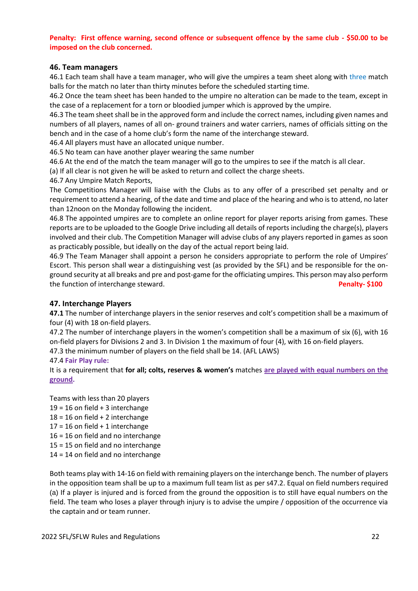### **Penalty: First offence warning, second offence or subsequent offence by the same club - \$50.00 to be imposed on the club concerned.**

### **46. Team managers**

46.1 Each team shall have a team manager, who will give the umpires a team sheet along with three match balls for the match no later than thirty minutes before the scheduled starting time.

46.2 Once the team sheet has been handed to the umpire no alteration can be made to the team, except in the case of a replacement for a torn or bloodied jumper which is approved by the umpire.

46.3 The team sheet shall be in the approved form and include the correct names, including given names and numbers of all players, names of all on- ground trainers and water carriers, names of officials sitting on the bench and in the case of a home club's form the name of the interchange steward.

46.4 All players must have an allocated unique number.

46.5 No team can have another player wearing the same number

46.6 At the end of the match the team manager will go to the umpires to see if the match is all clear.

(a) If all clear is not given he will be asked to return and collect the charge sheets.

46.7 Any Umpire Match Reports,

The Competitions Manager will liaise with the Clubs as to any offer of a prescribed set penalty and or requirement to attend a hearing, of the date and time and place of the hearing and who is to attend, no later than 12noon on the Monday following the incident.

46.8 The appointed umpires are to complete an online report for player reports arising from games. These reports are to be uploaded to the Google Drive including all details of reports including the charge(s), players involved and their club. The Competition Manager will advise clubs of any players reported in games as soon as practicably possible, but ideally on the day of the actual report being laid.

46.9 The Team Manager shall appoint a person he considers appropriate to perform the role of Umpires' Escort. This person shall wear a distinguishing vest (as provided by the SFL) and be responsible for the onground security at all breaks and pre and post-game for the officiating umpires. This person may also perform the function of interchange steward. **Penalty- \$100** 

### **47. Interchange Players**

**47.1** The number of interchange players in the senior reserves and colt's competition shall be a maximum of four (4) with 18 on-field players.

47.2 The number of interchange players in the women's competition shall be a maximum of six (6), with 16 on-field players for Divisions 2 and 3. In Division 1 the maximum of four (4), with 16 on-field players.

47.3 the minimum number of players on the field shall be 14. (AFL LAWS)

### 47.4 **Fair Play rule:**

It is a requirement that **for all; colts, reserves & women's** matches **are played with equal numbers on the ground.**

Teams with less than 20 players  $19 = 16$  on field  $+3$  interchange  $18 = 16$  on field  $+ 2$  interchange  $17 = 16$  on field  $+ 1$  interchange 16 = 16 on field and no interchange 15 = 15 on field and no interchange 14 = 14 on field and no interchange

Both teams play with 14-16 on field with remaining players on the interchange bench. The number of players in the opposition team shall be up to a maximum full team list as per s47.2. Equal on field numbers required (a) If a player is injured and is forced from the ground the opposition is to still have equal numbers on the field. The team who loses a player through injury is to advise the umpire / opposition of the occurrence via the captain and or team runner.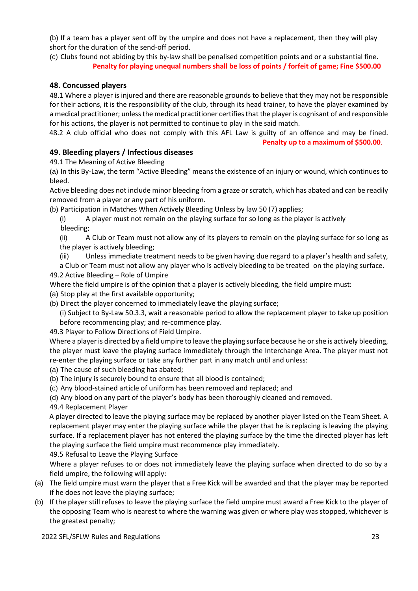(b) If a team has a player sent off by the umpire and does not have a replacement, then they will play short for the duration of the send-off period.

(c) Clubs found not abiding by this by-law shall be penalised competition points and or a substantial fine.  **Penalty for playing unequal numbers shall be loss of points / forfeit of game; Fine \$500.00** 

### **48. Concussed players**

48.1 Where a player is injured and there are reasonable grounds to believe that they may not be responsible for their actions, it is the responsibility of the club, through its head trainer, to have the player examined by a medical practitioner; unless the medical practitioner certifies that the player is cognisant of and responsible for his actions, the player is not permitted to continue to play in the said match.

48.2 A club official who does not comply with this AFL Law is guilty of an offence and may be fined. **Penalty up to a maximum of \$500.00**.

### **49. Bleeding players / Infectious diseases**

49.1 The Meaning of Active Bleeding

(a) In this By-Law, the term "Active Bleeding" means the existence of an injury or wound, which continues to bleed.

Active bleeding does not include minor bleeding from a graze or scratch, which has abated and can be readily removed from a player or any part of his uniform.

(b) Participation in Matches When Actively Bleeding Unless by law 50 (7) applies;

(i) A player must not remain on the playing surface for so long as the player is actively bleeding;

(ii) A Club or Team must not allow any of its players to remain on the playing surface for so long as the player is actively bleeding;

(iii) Unless immediate treatment needs to be given having due regard to a player's health and safety,

a Club or Team must not allow any player who is actively bleeding to be treated on the playing surface. 49.2 Active Bleeding – Role of Umpire

- Where the field umpire is of the opinion that a player is actively bleeding, the field umpire must:
- (a) Stop play at the first available opportunity;
- (b) Direct the player concerned to immediately leave the playing surface;

(i) Subject to By-Law 50.3.3, wait a reasonable period to allow the replacement player to take up position before recommencing play; and re-commence play.

49.3 Player to Follow Directions of Field Umpire.

Where a player is directed by a field umpire to leave the playing surface because he or she is actively bleeding, the player must leave the playing surface immediately through the Interchange Area. The player must not re-enter the playing surface or take any further part in any match until and unless:

- (a) The cause of such bleeding has abated;
- (b) The injury is securely bound to ensure that all blood is contained;
- (c) Any blood-stained article of uniform has been removed and replaced; and

(d) Any blood on any part of the player's body has been thoroughly cleaned and removed.

49.4 Replacement Player

A player directed to leave the playing surface may be replaced by another player listed on the Team Sheet. A replacement player may enter the playing surface while the player that he is replacing is leaving the playing surface. If a replacement player has not entered the playing surface by the time the directed player has left the playing surface the field umpire must recommence play immediately.

49.5 Refusal to Leave the Playing Surface

Where a player refuses to or does not immediately leave the playing surface when directed to do so by a field umpire, the following will apply:

- (a) The field umpire must warn the player that a Free Kick will be awarded and that the player may be reported if he does not leave the playing surface;
- (b) If the player still refuses to leave the playing surface the field umpire must award a Free Kick to the player of the opposing Team who is nearest to where the warning was given or where play was stopped, whichever is the greatest penalty;

2022 SFL/SFLW Rules and Regulations 23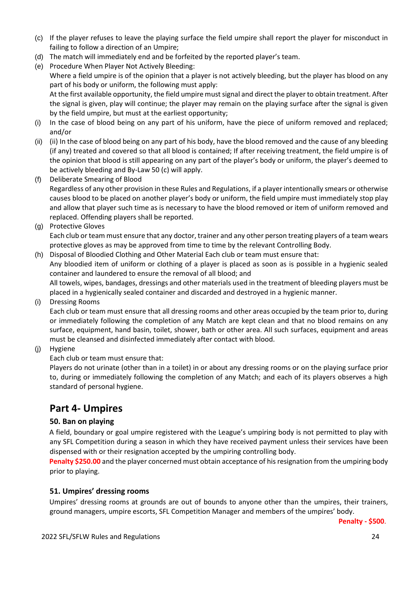- (c) If the player refuses to leave the playing surface the field umpire shall report the player for misconduct in failing to follow a direction of an Umpire;
- (d) The match will immediately end and be forfeited by the reported player's team.
- (e) Procedure When Player Not Actively Bleeding: Where a field umpire is of the opinion that a player is not actively bleeding, but the player has blood on any part of his body or uniform, the following must apply: At the first available opportunity, the field umpire must signal and direct the player to obtain treatment. After the signal is given, play will continue; the player may remain on the playing surface after the signal is given by the field umpire, but must at the earliest opportunity;
- (i) In the case of blood being on any part of his uniform, have the piece of uniform removed and replaced; and/or
- (ii) (ii) In the case of blood being on any part of his body, have the blood removed and the cause of any bleeding (if any) treated and covered so that all blood is contained; If after receiving treatment, the field umpire is of the opinion that blood is still appearing on any part of the player's body or uniform, the player's deemed to be actively bleeding and By-Law 50 (c) will apply.
- (f) Deliberate Smearing of Blood Regardless of any other provision in these Rules and Regulations, if a player intentionally smears or otherwise causes blood to be placed on another player's body or uniform, the field umpire must immediately stop play and allow that player such time as is necessary to have the blood removed or item of uniform removed and replaced. Offending players shall be reported.
- (g) Protective Gloves

Each club or team must ensure that any doctor, trainer and any other person treating players of a team wears protective gloves as may be approved from time to time by the relevant Controlling Body.

(h) Disposal of Bloodied Clothing and Other Material Each club or team must ensure that:

Any bloodied item of uniform or clothing of a player is placed as soon as is possible in a hygienic sealed container and laundered to ensure the removal of all blood; and

All towels, wipes, bandages, dressings and other materials used in the treatment of bleeding players must be placed in a hygienically sealed container and discarded and destroyed in a hygienic manner.

(i) Dressing Rooms

Each club or team must ensure that all dressing rooms and other areas occupied by the team prior to, during or immediately following the completion of any Match are kept clean and that no blood remains on any surface, equipment, hand basin, toilet, shower, bath or other area. All such surfaces, equipment and areas must be cleansed and disinfected immediately after contact with blood.

(j) Hygiene

Each club or team must ensure that:

Players do not urinate (other than in a toilet) in or about any dressing rooms or on the playing surface prior to, during or immediately following the completion of any Match; and each of its players observes a high standard of personal hygiene.

# **Part 4- Umpires**

### **50. Ban on playing**

A field, boundary or goal umpire registered with the League's umpiring body is not permitted to play with any SFL Competition during a season in which they have received payment unless their services have been dispensed with or their resignation accepted by the umpiring controlling body.

**Penalty \$250.00** and the player concerned must obtain acceptance of his resignation from the umpiring body prior to playing.

### **51. Umpires' dressing rooms**

Umpires' dressing rooms at grounds are out of bounds to anyone other than the umpires, their trainers, ground managers, umpire escorts, SFL Competition Manager and members of the umpires' body.

**Penalty - \$500**.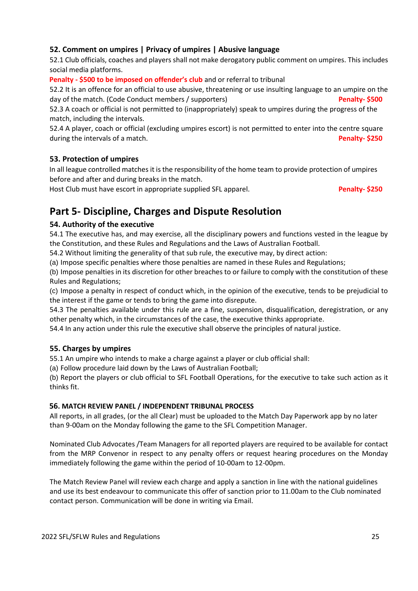### **52. Comment on umpires | Privacy of umpires | Abusive language**

52.1 Club officials, coaches and players shall not make derogatory public comment on umpires. This includes social media platforms.

**Penalty - \$500 to be imposed on offender's club** and or referral to tribunal

52.2 It is an offence for an official to use abusive, threatening or use insulting language to an umpire on the day of the match. (Code Conduct members / supporters) **Penalty-** \$500

52.3 A coach or official is not permitted to (inappropriately) speak to umpires during the progress of the match, including the intervals.

52.4 A player, coach or official (excluding umpires escort) is not permitted to enter into the centre square during the intervals of a match. **Penalty- \$250** 

### **53. Protection of umpires**

In all league controlled matches it is the responsibility of the home team to provide protection of umpires before and after and during breaks in the match.

Host Club must have escort in appropriate supplied SFL apparel. **Parally- Penalty- \$250** 

# **Part 5- Discipline, Charges and Dispute Resolution**

### **54. Authority of the executive**

54.1 The executive has, and may exercise, all the disciplinary powers and functions vested in the league by the Constitution, and these Rules and Regulations and the Laws of Australian Football.

54.2 Without limiting the generality of that sub rule, the executive may, by direct action:

(a) Impose specific penalties where those penalties are named in these Rules and Regulations;

(b) Impose penalties in its discretion for other breaches to or failure to comply with the constitution of these Rules and Regulations;

(c) Impose a penalty in respect of conduct which, in the opinion of the executive, tends to be prejudicial to the interest if the game or tends to bring the game into disrepute.

54.3 The penalties available under this rule are a fine, suspension, disqualification, deregistration, or any other penalty which, in the circumstances of the case, the executive thinks appropriate.

54.4 In any action under this rule the executive shall observe the principles of natural justice.

### **55. Charges by umpires**

55.1 An umpire who intends to make a charge against a player or club official shall:

(a) Follow procedure laid down by the Laws of Australian Football;

(b) Report the players or club official to SFL Football Operations, for the executive to take such action as it thinks fit.

### **56. MATCH REVIEW PANEL / INDEPENDENT TRIBUNAL PROCESS**

All reports, in all grades, (or the all Clear) must be uploaded to the Match Day Paperwork app by no later than 9-00am on the Monday following the game to the SFL Competition Manager.

Nominated Club Advocates /Team Managers for all reported players are required to be available for contact from the MRP Convenor in respect to any penalty offers or request hearing procedures on the Monday immediately following the game within the period of 10-00am to 12-00pm.

The Match Review Panel will review each charge and apply a sanction in line with the national guidelines and use its best endeavour to communicate this offer of sanction prior to 11.00am to the Club nominated contact person. Communication will be done in writing via Email.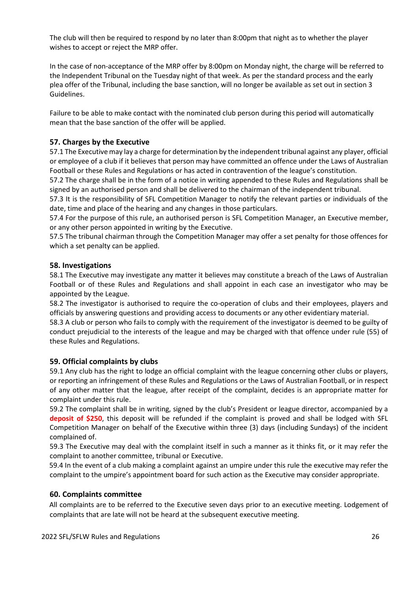The club will then be required to respond by no later than 8:00pm that night as to whether the player wishes to accept or reject the MRP offer.

In the case of non-acceptance of the MRP offer by 8:00pm on Monday night, the charge will be referred to the Independent Tribunal on the Tuesday night of that week. As per the standard process and the early plea offer of the Tribunal, including the base sanction, will no longer be available as set out in section 3 Guidelines.

Failure to be able to make contact with the nominated club person during this period will automatically mean that the base sanction of the offer will be applied.

### **57. Charges by the Executive**

57.1 The Executive may lay a charge for determination by the independent tribunal against any player, official or employee of a club if it believes that person may have committed an offence under the Laws of Australian Football or these Rules and Regulations or has acted in contravention of the league's constitution.

57.2 The charge shall be in the form of a notice in writing appended to these Rules and Regulations shall be signed by an authorised person and shall be delivered to the chairman of the independent tribunal.

57.3 It is the responsibility of SFL Competition Manager to notify the relevant parties or individuals of the date, time and place of the hearing and any changes in those particulars.

57.4 For the purpose of this rule, an authorised person is SFL Competition Manager, an Executive member, or any other person appointed in writing by the Executive.

57.5 The tribunal chairman through the Competition Manager may offer a set penalty for those offences for which a set penalty can be applied.

### **58. Investigations**

58.1 The Executive may investigate any matter it believes may constitute a breach of the Laws of Australian Football or of these Rules and Regulations and shall appoint in each case an investigator who may be appointed by the League.

58.2 The investigator is authorised to require the co-operation of clubs and their employees, players and officials by answering questions and providing access to documents or any other evidentiary material.

58.3 A club or person who fails to comply with the requirement of the investigator is deemed to be guilty of conduct prejudicial to the interests of the league and may be charged with that offence under rule (55) of these Rules and Regulations.

### **59. Official complaints by clubs**

59.1 Any club has the right to lodge an official complaint with the league concerning other clubs or players, or reporting an infringement of these Rules and Regulations or the Laws of Australian Football, or in respect of any other matter that the league, after receipt of the complaint, decides is an appropriate matter for complaint under this rule.

59.2 The complaint shall be in writing, signed by the club's President or league director, accompanied by a **deposit of \$250**, this deposit will be refunded if the complaint is proved and shall be lodged with SFL Competition Manager on behalf of the Executive within three (3) days (including Sundays) of the incident complained of.

59.3 The Executive may deal with the complaint itself in such a manner as it thinks fit, or it may refer the complaint to another committee, tribunal or Executive.

59.4 In the event of a club making a complaint against an umpire under this rule the executive may refer the complaint to the umpire's appointment board for such action as the Executive may consider appropriate.

### **60. Complaints committee**

All complaints are to be referred to the Executive seven days prior to an executive meeting. Lodgement of complaints that are late will not be heard at the subsequent executive meeting.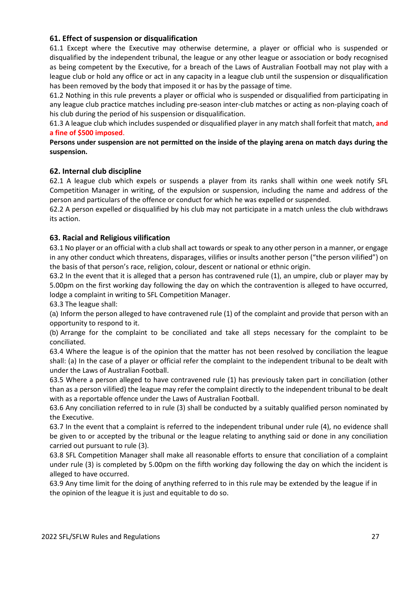### **61. Effect of suspension or disqualification**

61.1 Except where the Executive may otherwise determine, a player or official who is suspended or disqualified by the independent tribunal, the league or any other league or association or body recognised as being competent by the Executive, for a breach of the Laws of Australian Football may not play with a league club or hold any office or act in any capacity in a league club until the suspension or disqualification has been removed by the body that imposed it or has by the passage of time.

61.2 Nothing in this rule prevents a player or official who is suspended or disqualified from participating in any league club practice matches including pre-season inter-club matches or acting as non-playing coach of his club during the period of his suspension or disqualification.

61.3 A league club which includes suspended or disqualified player in any match shall forfeit that match, **and a fine of \$500 imposed**.

**Persons under suspension are not permitted on the inside of the playing arena on match days during the suspension.**

### **62. Internal club discipline**

62.1 A league club which expels or suspends a player from its ranks shall within one week notify SFL Competition Manager in writing, of the expulsion or suspension, including the name and address of the person and particulars of the offence or conduct for which he was expelled or suspended.

62.2 A person expelled or disqualified by his club may not participate in a match unless the club withdraws its action.

### **63. Racial and Religious vilification**

63.1 No player or an official with a club shall act towards or speak to any other person in a manner, or engage in any other conduct which threatens, disparages, vilifies or insults another person ("the person vilified") on the basis of that person's race, religion, colour, descent or national or ethnic origin.

63.2 In the event that it is alleged that a person has contravened rule (1), an umpire, club or player may by 5.00pm on the first working day following the day on which the contravention is alleged to have occurred, lodge a complaint in writing to SFL Competition Manager.

63.3 The league shall:

(a) Inform the person alleged to have contravened rule (1) of the complaint and provide that person with an opportunity to respond to it.

(b) Arrange for the complaint to be conciliated and take all steps necessary for the complaint to be conciliated.

63.4 Where the league is of the opinion that the matter has not been resolved by conciliation the league shall: (a) In the case of a player or official refer the complaint to the independent tribunal to be dealt with under the Laws of Australian Football.

63.5 Where a person alleged to have contravened rule (1) has previously taken part in conciliation (other than as a person vilified) the league may refer the complaint directly to the independent tribunal to be dealt with as a reportable offence under the Laws of Australian Football.

63.6 Any conciliation referred to in rule (3) shall be conducted by a suitably qualified person nominated by the Executive.

63.7 In the event that a complaint is referred to the independent tribunal under rule (4), no evidence shall be given to or accepted by the tribunal or the league relating to anything said or done in any conciliation carried out pursuant to rule (3).

63.8 SFL Competition Manager shall make all reasonable efforts to ensure that conciliation of a complaint under rule (3) is completed by 5.00pm on the fifth working day following the day on which the incident is alleged to have occurred.

63.9 Any time limit for the doing of anything referred to in this rule may be extended by the league if in the opinion of the league it is just and equitable to do so.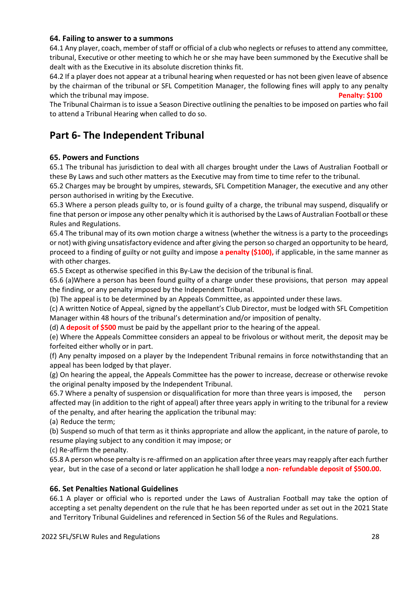### **64. Failing to answer to a summons**

64.1 Any player, coach, member of staff or official of a club who neglects or refuses to attend any committee, tribunal, Executive or other meeting to which he or she may have been summoned by the Executive shall be dealt with as the Executive in its absolute discretion thinks fit.

64.2 If a player does not appear at a tribunal hearing when requested or has not been given leave of absence by the chairman of the tribunal or SFL Competition Manager, the following fines will apply to any penalty which the tribunal may impose. **Penalty: \$100 Penalty: \$100** 

The Tribunal Chairman is to issue a Season Directive outlining the penalties to be imposed on parties who fail to attend a Tribunal Hearing when called to do so.

# **Part 6- The Independent Tribunal**

### **65. Powers and Functions**

65.1 The tribunal has jurisdiction to deal with all charges brought under the Laws of Australian Football or these By Laws and such other matters as the Executive may from time to time refer to the tribunal.

65.2 Charges may be brought by umpires, stewards, SFL Competition Manager, the executive and any other person authorised in writing by the Executive.

65.3 Where a person pleads guilty to, or is found guilty of a charge, the tribunal may suspend, disqualify or fine that person or impose any other penalty which it is authorised by the Laws of Australian Football or these Rules and Regulations.

65.4 The tribunal may of its own motion charge a witness (whether the witness is a party to the proceedings or not) with giving unsatisfactory evidence and after giving the person so charged an opportunity to be heard, proceed to a finding of guilty or not guilty and impose **a penalty (\$100),** if applicable, in the same manner as with other charges.

65.5 Except as otherwise specified in this By-Law the decision of the tribunal is final.

65.6 (a)Where a person has been found guilty of a charge under these provisions, that person may appeal the finding, or any penalty imposed by the Independent Tribunal.

(b) The appeal is to be determined by an Appeals Committee, as appointed under these laws.

(c) A written Notice of Appeal, signed by the appellant's Club Director, must be lodged with SFL Competition Manager within 48 hours of the tribunal's determination and/or imposition of penalty.

(d) A **deposit of \$500** must be paid by the appellant prior to the hearing of the appeal.

(e) Where the Appeals Committee considers an appeal to be frivolous or without merit, the deposit may be forfeited either wholly or in part.

(f) Any penalty imposed on a player by the Independent Tribunal remains in force notwithstanding that an appeal has been lodged by that player.

(g) On hearing the appeal, the Appeals Committee has the power to increase, decrease or otherwise revoke the original penalty imposed by the Independent Tribunal.

65.7 Where a penalty of suspension or disqualification for more than three years is imposed, the person affected may (in addition to the right of appeal) after three years apply in writing to the tribunal for a review of the penalty, and after hearing the application the tribunal may:

(a) Reduce the term;

(b) Suspend so much of that term as it thinks appropriate and allow the applicant, in the nature of parole, to resume playing subject to any condition it may impose; or

(c) Re-affirm the penalty.

65.8 A person whose penalty is re-affirmed on an application after three years may reapply after each further year, but in the case of a second or later application he shall lodge a **non- refundable deposit of \$500.00.** 

### **66. Set Penalties National Guidelines**

66.1 A player or official who is reported under the Laws of Australian Football may take the option of accepting a set penalty dependent on the rule that he has been reported under as set out in the 2021 State and Territory Tribunal Guidelines and referenced in Section 56 of the Rules and Regulations.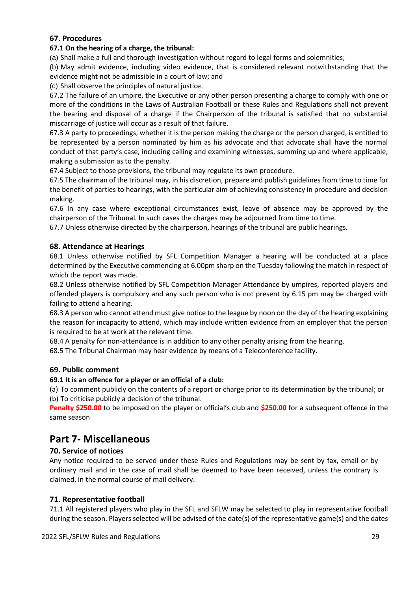### **67. Procedures**

### **67.1 On the hearing of a charge, the tribunal:**

(a) Shall make a full and thorough investigation without regard to legal forms and solemnities;

(b) May admit evidence, including video evidence, that is considered relevant notwithstanding that the evidence might not be admissible in a court of law; and

(c) Shall observe the principles of natural justice.

67.2 The failure of an umpire, the Executive or any other person presenting a charge to comply with one or more of the conditions in the Laws of Australian Football or these Rules and Regulations shall not prevent the hearing and disposal of a charge if the Chairperson of the tribunal is satisfied that no substantial miscarriage of justice will occur as a result of that failure.

67.3 A party to proceedings, whether it is the person making the charge or the person charged, is entitled to be represented by a person nominated by him as his advocate and that advocate shall have the normal conduct of that party's case, including calling and examining witnesses, summing up and where applicable, making a submission as to the penalty.

67.4 Subject to those provisions, the tribunal may regulate its own procedure.

67.5 The chairman of the tribunal may, in his discretion, prepare and publish guidelines from time to time for the benefit of parties to hearings, with the particular aim of achieving consistency in procedure and decision making.

67.6 In any case where exceptional circumstances exist, leave of absence may be approved by the chairperson of the Tribunal. In such cases the charges may be adjourned from time to time.

67.7 Unless otherwise directed by the chairperson, hearings of the tribunal are public hearings.

### **68. Attendance at Hearings**

68.1 Unless otherwise notified by SFL Competition Manager a hearing will be conducted at a place determined by the Executive commencing at 6.00pm sharp on the Tuesday following the match in respect of which the report was made.

68.2 Unless otherwise notified by SFL Competition Manager Attendance by umpires, reported players and offended players is compulsory and any such person who is not present by 6.15 pm may be charged with failing to attend a hearing.

68.3 A person who cannot attend must give notice to the league by noon on the day of the hearing explaining the reason for incapacity to attend, which may include written evidence from an employer that the person is required to be at work at the relevant time.

68.4 A penalty for non-attendance is in addition to any other penalty arising from the hearing.

68.5 The Tribunal Chairman may hear evidence by means of a Teleconference facility.

### **69. Public comment**

### **69.1 It is an offence for a player or an official of a club:**

(a) To comment publicly on the contents of a report or charge prior to its determination by the tribunal; or (b) To criticise publicly a decision of the tribunal.

**Penalty \$250.00** to be imposed on the player or official's club and **\$250.00** for a subsequent offence in the same season

# **Part 7- Miscellaneous**

### **70. Service of notices**

Any notice required to be served under these Rules and Regulations may be sent by fax, email or by ordinary mail and in the case of mail shall be deemed to have been received, unless the contrary is claimed, in the normal course of mail delivery.

### **71. Representative football**

71.1 All registered players who play in the SFL and SFLW may be selected to play in representative football during the season. Players selected will be advised of the date(s) of the representative game(s) and the dates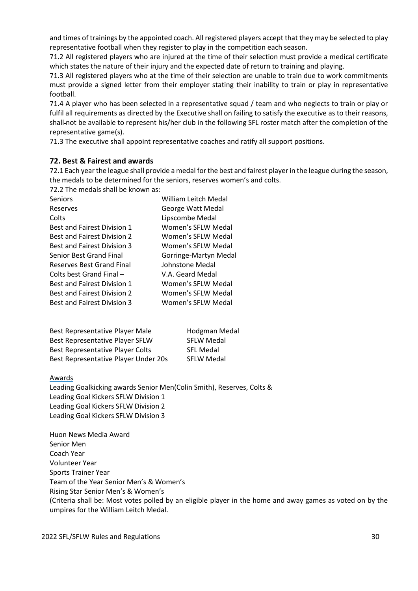and times of trainings by the appointed coach. All registered players accept that they may be selected to play representative football when they register to play in the competition each season.

71.2 All registered players who are injured at the time of their selection must provide a medical certificate which states the nature of their injury and the expected date of return to training and playing.

71.3 All registered players who at the time of their selection are unable to train due to work commitments must provide a signed letter from their employer stating their inability to train or play in representative football.

71.4 A player who has been selected in a representative squad / team and who neglects to train or play or fulfil all requirements as directed by the Executive shall on failing to satisfy the executive as to their reasons, shall not be available to represent his/her club in the following SFL roster match after the completion of the representative game(s).

71.3 The executive shall appoint representative coaches and ratify all support positions.

### **72. Best & Fairest and awards**

72.1 Each year the league shall provide a medal for the best and fairest player in the league during the season, the medals to be determined for the seniors, reserves women's and colts.

72.2 The medals shall be known as:

| Seniors                            | William Leitch Medal  |
|------------------------------------|-----------------------|
| Reserves                           | George Watt Medal     |
| Colts                              | Lipscombe Medal       |
| <b>Best and Fairest Division 1</b> | Women's SFLW Medal    |
| <b>Best and Fairest Division 2</b> | Women's SFLW Medal    |
| <b>Best and Fairest Division 3</b> | Women's SFLW Medal    |
| Senior Best Grand Final            | Gorringe-Martyn Medal |
| <b>Reserves Best Grand Final</b>   | Johnstone Medal       |
| Colts best Grand Final -           | V.A. Geard Medal      |
| <b>Best and Fairest Division 1</b> | Women's SFLW Medal    |
| <b>Best and Fairest Division 2</b> | Women's SFLW Medal    |
| <b>Best and Fairest Division 3</b> | Women's SFLW Medal    |
|                                    |                       |

| Best Representative Player Male         | Hodgman Medal     |
|-----------------------------------------|-------------------|
| <b>Best Representative Player SFLW</b>  | <b>SFLW Medal</b> |
| <b>Best Representative Player Colts</b> | <b>SFL Medal</b>  |
| Best Representative Player Under 20s    | <b>SFLW Medal</b> |

### Awards

Leading Goalkicking awards Senior Men(Colin Smith), Reserves, Colts & Leading Goal Kickers SFLW Division 1 Leading Goal Kickers SFLW Division 2 Leading Goal Kickers SFLW Division 3

Huon News Media Award Senior Men Coach Year Volunteer Year Sports Trainer Year Team of the Year Senior Men's & Women's Rising Star Senior Men's & Women's (Criteria shall be: Most votes polled by an eligible player in the home and away games as voted on by the umpires for the William Leitch Medal.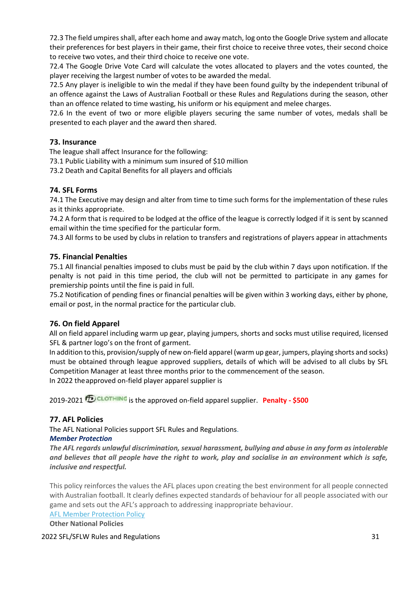72.3 The field umpires shall, after each home and away match, log onto the Google Drive system and allocate their preferences for best players in their game, their first choice to receive three votes, their second choice to receive two votes, and their third choice to receive one vote.

72.4 The Google Drive Vote Card will calculate the votes allocated to players and the votes counted, the player receiving the largest number of votes to be awarded the medal.

72.5 Any player is ineligible to win the medal if they have been found guilty by the independent tribunal of an offence against the Laws of Australian Football or these Rules and Regulations during the season, other than an offence related to time wasting, his uniform or his equipment and melee charges.

72.6 In the event of two or more eligible players securing the same number of votes, medals shall be presented to each player and the award then shared.

### **73. Insurance**

The league shall affect Insurance for the following:

73.1 Public Liability with a minimum sum insured of \$10 million

73.2 Death and Capital Benefits for all players and officials

### **74. SFL Forms**

74.1 The Executive may design and alter from time to time such forms for the implementation of these rules as it thinks appropriate.

74.2 A form that is required to be lodged at the office of the league is correctly lodged if it is sent by scanned email within the time specified for the particular form.

74.3 All forms to be used by clubs in relation to transfers and registrations of players appear in attachments

### **75. Financial Penalties**

75.1 All financial penalties imposed to clubs must be paid by the club within 7 days upon notification. If the penalty is not paid in this time period, the club will not be permitted to participate in any games for premiership points until the fine is paid in full.

75.2 Notification of pending fines or financial penalties will be given within 3 working days, either by phone, email or post, in the normal practice for the particular club.

### **76. On field Apparel**

All on field apparel including warm up gear, playing jumpers, shorts and socks must utilise required, licensed SFL & partner logo's on the front of garment.

In addition to this, provision/supply of new on-field apparel (warm up gear, jumpers, playing shorts and socks) must be obtained through league approved suppliers, details of which will be advised to all clubs by SFL Competition Manager at least three months prior to the commencement of the season. In 2022 theapproved on-field player apparel supplier is

2019-2021 **D**CLOTHING is the approved on-field apparel supplier. **Penalty - \$500** 

### **77. AFL Policies**

The AFL National Policies support SFL Rules and Regulations.

### *Member Protection*

*The AFL regards unlawful discrimination, sexual harassment, bullying and abuse in any form as intolerable and believes that all people have the right to work, play and socialise in an environment which is safe, inclusive and respectful.* 

This policy reinforces the values the AFL places upon creating the best environment for all people connected with Australian football. It clearly defines expected standards of behaviour for all people associated with our game and sets out the AFL's approach to addressing inappropriate behaviour.

[AFL Member Protection Policy](http://www.aflcommunityclub.com.au/fileadmin/user_upload/YCKG/YCKGv3/Member_Protection/National_Member_Protection_Policy_.pdf)

**Other National Policies**

### 2022 SFL/SFLW Rules and Regulations 31 and 32 and 32 and 32 and 32 and 32 and 32 and 32 and 32 and 32 and 32 and 32 and 32 and 32 and 32 and 32 and 32 and 32 and 32 and 32 and 32 and 32 and 32 and 32 and 32 and 32 and 32 a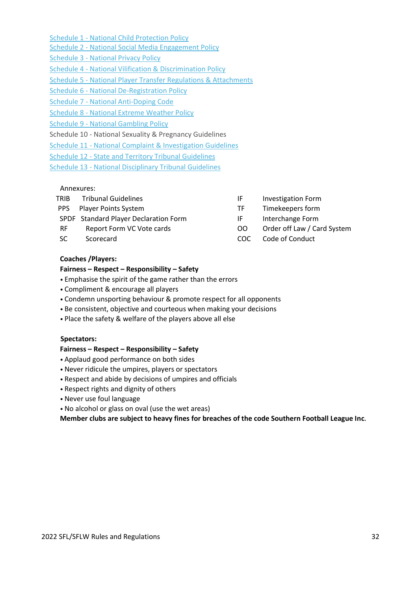[Schedule 1 -](http://www.aflcommunityclub.com.au/fileadmin/user_upload/Manage_Your_Club/3._Club_Management_Program/5._Risk_Management/National_Child_Protection_Policy_-_March_2015.pdf) [National Child Protection Policy](http://www.aflcommunityclub.com.au/fileadmin/user_upload/Manage_Your_Club/3._Club_Management_Program/5._Risk_Management/National_Child_Protection_Policy_-_March_2015.pdf)

- [Schedule 2](http://www.aflcommunityclub.com.au/fileadmin/user_upload/YCKG/YCKGv3/Member_Protection/Schedule_2_-_National_Social_Media_Engagement_Policy.pdf) [-](http://www.aflcommunityclub.com.au/fileadmin/user_upload/YCKG/YCKGv3/Member_Protection/Schedule_2_-_National_Social_Media_Engagement_Policy.pdf) [National](http://www.aflcommunityclub.com.au/fileadmin/user_upload/YCKG/YCKGv3/Member_Protection/Schedule_2_-_National_Social_Media_Engagement_Policy.pdf) [Social Media](http://www.aflcommunityclub.com.au/fileadmin/user_upload/YCKG/YCKGv3/Member_Protection/Schedule_2_-_National_Social_Media_Engagement_Policy.pdf) [Engagement Policy](http://www.aflcommunityclub.com.au/fileadmin/user_upload/YCKG/YCKGv3/Member_Protection/Schedule_2_-_National_Social_Media_Engagement_Policy.pdf)
- [Schedule 3 -](http://www.aflcommunityclub.com.au/fileadmin/user_upload/YCKG/YCKGv3/Member_Protection/Schedule_3_-_National_Privacy_Policy.pdf) [National Privacy Policy](http://www.aflcommunityclub.com.au/fileadmin/user_upload/YCKG/YCKGv3/Member_Protection/Schedule_3_-_National_Privacy_Policy.pdf)
- [Schedule 4 -](http://www.aflcommunityclub.com.au/fileadmin/user_upload/YCKG/YCKGv3/Member_Protection/Schedule_4_-_National_Vilification___Discrimination_Policy.pdf) [National Vilification & Discrimination Policy](http://www.aflcommunityclub.com.au/fileadmin/user_upload/YCKG/YCKGv3/Member_Protection/Schedule_4_-_National_Vilification___Discrimination_Policy.pdf)
- [Schedule 5 -](http://www.aflcommunityclub.com.au/fileadmin/user_upload/Manage_Your_Club/3._Club_Management_Program/1._Club_Policies___Guidelines/National_Player_Transfer_Regulations__final_.pdf) [National Player Transfer Regulations & Attachments](http://www.aflcommunityclub.com.au/fileadmin/user_upload/Manage_Your_Club/3._Club_Management_Program/1._Club_Policies___Guidelines/National_Player_Transfer_Regulations__final_.pdf)
- [Schedule 6 -](http://www.aflcommunityclub.com.au/fileadmin/user_upload/Manage_Your_Club/3._Club_Management_Program/1._Club_Policies___Guidelines/National_De-Registration_Policy_2018_FINAL.PDF) [National De-Registration Policy](http://www.aflcommunityclub.com.au/fileadmin/user_upload/Manage_Your_Club/3._Club_Management_Program/1._Club_Policies___Guidelines/National_De-Registration_Policy_2018_FINAL.PDF)
- [Schedule 7 -](http://www.aflcommunityclub.com.au/fileadmin/user_upload/Manage_Your_Club/3._Club_Management_Program/5._Risk_Management/AFL-Anti-Doping-Code-2015-FINAL1.pdf) [National Anti-Doping Code](http://www.aflcommunityclub.com.au/fileadmin/user_upload/Manage_Your_Club/3._Club_Management_Program/5._Risk_Management/AFL-Anti-Doping-Code-2015-FINAL1.pdf)
- [Schedule 8 -](http://www.aflcommunityclub.com.au/fileadmin/user_upload/YCKG/YCKGv3/Member_Protection/Schedule_7_-_National_Extreme_Weather_Policy.pdf) [National Extreme](http://www.aflcommunityclub.com.au/fileadmin/user_upload/YCKG/YCKGv3/Member_Protection/Schedule_7_-_National_Extreme_Weather_Policy.pdf) Weather Polic[y](http://www.aflcommunityclub.com.au/fileadmin/user_upload/YCKG/YCKGv3/Member_Protection/Schedule_7_-_National_Extreme_Weather_Policy.pdf)
- [Schedule 9 -](http://www.aflcommunityclub.com.au/fileadmin/user_upload/YCKG/YCKGv3/Member_Protection/Schedule_8_-_National_Gambling_Policy.pdf) [National Gambling Policy](http://www.aflcommunityclub.com.au/fileadmin/user_upload/YCKG/YCKGv3/Member_Protection/Schedule_8_-_National_Gambling_Policy.pdf)
- Schedule 10 National Sexuality & Pregnancy Guidelines
- [Schedule 11 -](http://www.aflcommunityclub.com.au/fileadmin/user_upload/YCKG/YCKGv3/Member_Protection/Schedule_10_-_National_Complaint___Investigation_Guidelines.pdf) [National Complaint & Investigation Guidelines](http://www.aflcommunityclub.com.au/fileadmin/user_upload/YCKG/YCKGv3/Member_Protection/Schedule_10_-_National_Complaint___Investigation_Guidelines.pdf)
- [Schedule 12 -](http://www.aflcommunityclub.com.au/fileadmin/user_upload/Manage_Your_Club/3._Club_Management_Program/1._Club_Policies___Guidelines/State_and_Territory_Tribunal_Guidelines_2017.pdf) [State and Territory Tribunal Guidelines](http://www.aflcommunityclub.com.au/fileadmin/user_upload/Manage_Your_Club/3._Club_Management_Program/1._Club_Policies___Guidelines/State_and_Territory_Tribunal_Guidelines_2017.pdf)
- [Schedule 13 -](http://www.aflcommunityclub.com.au/fileadmin/user_upload/YCKG/YCKGv3/Member_Protection/Schedule_12_-_National_Disciplinary_Tribunal_Guidelines_.pdf) [National Disciplinary Tribunal](http://www.aflcommunityclub.com.au/fileadmin/user_upload/YCKG/YCKGv3/Member_Protection/Schedule_12_-_National_Disciplinary_Tribunal_Guidelines_.pdf) [Guidelines](http://www.aflcommunityclub.com.au/fileadmin/user_upload/YCKG/YCKGv3/Member_Protection/Schedule_12_-_National_Disciplinary_Tribunal_Guidelines_.pdf)

### Annexures:

| TRIB       | <b>Tribunal Guidelines</b>            | IF   | <b>Investigation Form</b>   |
|------------|---------------------------------------|------|-----------------------------|
| <b>PPS</b> | <b>Player Points System</b>           | ТF   | Timekeepers form            |
|            | SPDF Standard Player Declaration Form | IF   | Interchange Form            |
| <b>RF</b>  | Report Form VC Vote cards             | OO.  | Order off Law / Card System |
| <b>SC</b>  | Scorecard                             | COC. | Code of Conduct             |
|            |                                       |      |                             |

### **Coaches /Players:**

### **Fairness – Respect – Responsibility – Safety**

- Emphasise the spirit of the game rather than the errors
- Compliment & encourage all players
- Condemn unsporting behaviour & promote respect for all opponents
- Be consistent, objective and courteous when making your decisions
- Place the safety & welfare of the players above all else

### **Spectators:**

### **Fairness – Respect – Responsibility – Safety**

- Applaud good performance on both sides
- Never ridicule the umpires, players or spectators
- Respect and abide by decisions of umpires and officials
- Respect rights and dignity of others
- Never use foul language
- No alcohol or glass on oval (use the wet areas)

**Member clubs are subject to heavy fines for breaches of the code Southern Football League Inc.**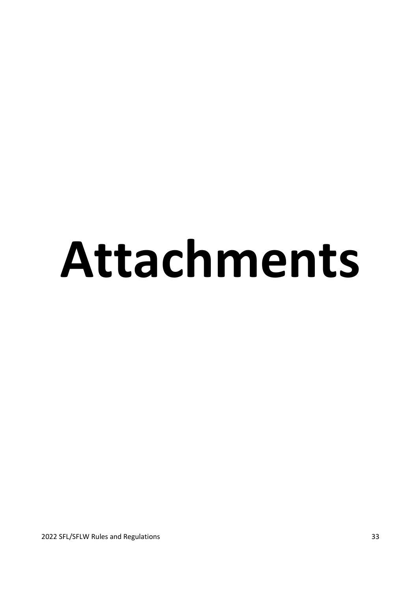# **Attachments**

2022 SFL/SFLW Rules and Regulations 33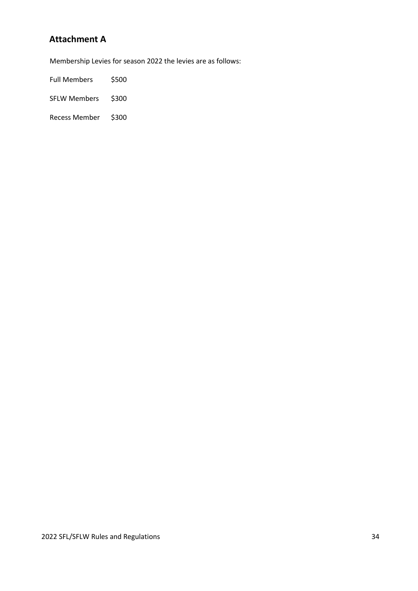# **Attachment A**

Membership Levies for season 2022 the levies are as follows:

Full Members \$500

SFLW Members \$300

Recess Member \$300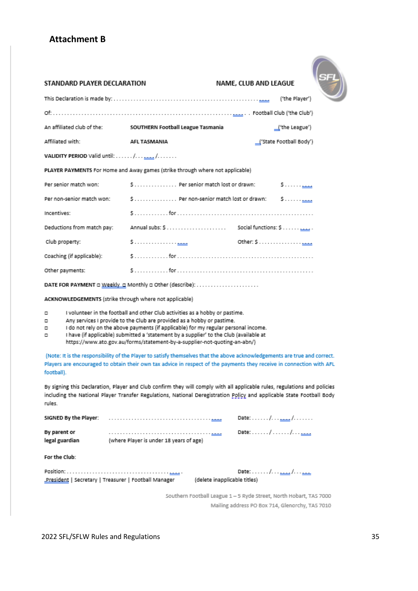# **Attachment B**



| STANDARD PLAYER DECLARATION                                                   |                                                              | NAME, CLUB AND LEAGUE                                                                                      |  |
|-------------------------------------------------------------------------------|--------------------------------------------------------------|------------------------------------------------------------------------------------------------------------|--|
|                                                                               |                                                              | ("the Player") [[the Player"] [[the Player"] [[the Player"] [[the Player"] [[the Player"] [[the Player"] [ |  |
|                                                                               |                                                              |                                                                                                            |  |
|                                                                               | An affiliated club of the: SOUTHERN Football League Tasmania | $\perp$ (the League')                                                                                      |  |
| Affiliated with:                                                              | AFL TASMANIA                                                 | ('State Football Body')                                                                                    |  |
|                                                                               |                                                              |                                                                                                            |  |
| PLAYER PAYMENTS For Home and Away games (strike through where not applicable) |                                                              |                                                                                                            |  |
| Per senior match won:                                                         | \$ Per senior match lost or drawn:                           | <u>مىسى</u> و                                                                                              |  |
| Per non-senior match won:                                                     | \$ Per non-senior match lost or drawn:                       |                                                                                                            |  |
| Incentives:                                                                   |                                                              |                                                                                                            |  |
| Deductions from match pay:                                                    |                                                              |                                                                                                            |  |
| Club property:                                                                | \$ <u></u>                                                   |                                                                                                            |  |
| Coaching (if applicable):                                                     |                                                              |                                                                                                            |  |
| Other payments:                                                               |                                                              |                                                                                                            |  |
| DATE FOR PAYMENT a Weekly a Monthly a Other (describe):                       |                                                              |                                                                                                            |  |

ACKNOWLEDGEMENTS (strike through where not applicable)

 $\Box$ I volunteer in the football and other Club activities as a hobby or pastime.

 $\Box$ Any services I provide to the Club are provided as a hobby or pastime.

I do not rely on the above payments (if applicable) for my regular personal income.  $\Box$ 

 $\Box$ I have (if applicable) submitted a 'statement by a supplier' to the Club (available at https://www.ato.gov.au/forms/statement-by-a-supplier-not-quoting-an-abn/)

(Note: It is the responsibility of the Player to satisfy themselves that the above acknowledgements are true and correct. Players are encouraged to obtain their own tax advice in respect of the payments they receive in connection with AFL football).

By signing this Declaration, Player and Club confirm they will comply with all applicable rules, regulations and policies including the National Player Transfer Regulations, National Deregistration Policy and applicable State Football Body rules.

|                                |                                                       |                              | Date: / <u>.</u> /                                                    |
|--------------------------------|-------------------------------------------------------|------------------------------|-----------------------------------------------------------------------|
| By parent or<br>legal guardian | (where Player is under 18 years of age)               |                              | Date: $\ldots$ , $\ldots$ , $\ldots$ , $\ldots$                       |
| For the Club:                  |                                                       |                              |                                                                       |
|                                | "President   Secretary   Treasurer   Football Manager | (delete inapplicable titles) | Date: $\ldots$ , $\ldots$ , $\ldots$ , $\ldots$ , $\ldots$ , $\ldots$ |

Southern Football League 1-5 Ryde Street, North Hobart, TAS 7000 Mailing address PO Box 714, Glenorchy, TAS 7010